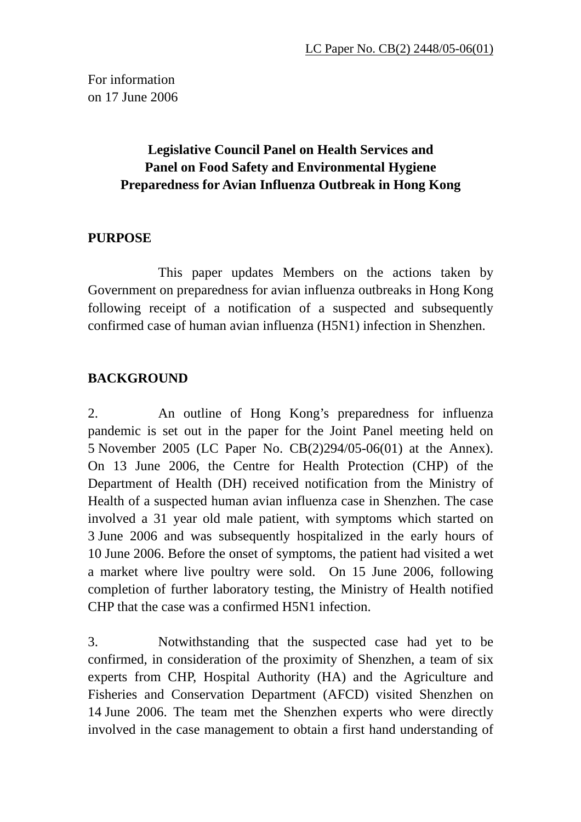For information on 17 June 2006

# **Legislative Council Panel on Health Services and Panel on Food Safety and Environmental Hygiene Preparedness for Avian Influenza Outbreak in Hong Kong**

# **PURPOSE**

 This paper updates Members on the actions taken by Government on preparedness for avian influenza outbreaks in Hong Kong following receipt of a notification of a suspected and subsequently confirmed case of human avian influenza (H5N1) infection in Shenzhen.

# **BACKGROUND**

2. An outline of Hong Kong's preparedness for influenza pandemic is set out in the paper for the Joint Panel meeting held on 5 November 2005 (LC Paper No. CB(2)294/05-06(01) at the Annex). On 13 June 2006, the Centre for Health Protection (CHP) of the Department of Health (DH) received notification from the Ministry of Health of a suspected human avian influenza case in Shenzhen. The case involved a 31 year old male patient, with symptoms which started on 3 June 2006 and was subsequently hospitalized in the early hours of 10 June 2006. Before the onset of symptoms, the patient had visited a wet a market where live poultry were sold. On 15 June 2006, following completion of further laboratory testing, the Ministry of Health notified CHP that the case was a confirmed H5N1 infection.

3. Notwithstanding that the suspected case had yet to be confirmed, in consideration of the proximity of Shenzhen, a team of six experts from CHP, Hospital Authority (HA) and the Agriculture and Fisheries and Conservation Department (AFCD) visited Shenzhen on 14 June 2006. The team met the Shenzhen experts who were directly involved in the case management to obtain a first hand understanding of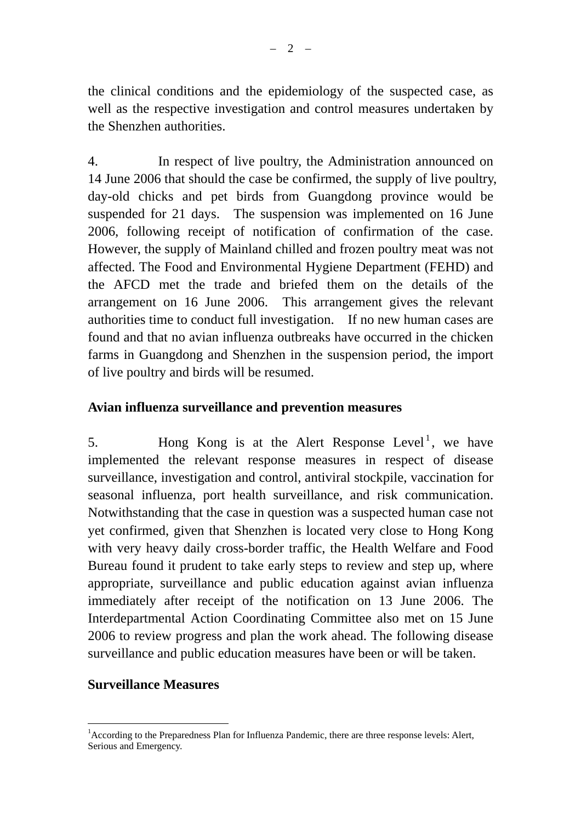the clinical conditions and the epidemiology of the suspected case, as well as the respective investigation and control measures undertaken by the Shenzhen authorities.

4. In respect of live poultry, the Administration announced on 14 June 2006 that should the case be confirmed, the supply of live poultry, day-old chicks and pet birds from Guangdong province would be suspended for 21 days. The suspension was implemented on 16 June 2006, following receipt of notification of confirmation of the case. However, the supply of Mainland chilled and frozen poultry meat was not affected. The Food and Environmental Hygiene Department (FEHD) and the AFCD met the trade and briefed them on the details of the arrangement on 16 June 2006. This arrangement gives the relevant authorities time to conduct full investigation. If no new human cases are found and that no avian influenza outbreaks have occurred in the chicken farms in Guangdong and Shenzhen in the suspension period, the import of live poultry and birds will be resumed.

### **Avian influenza surveillance and prevention measures**

5. Hong Kong is at the Alert Response Level<sup>1</sup>, we have implemented the relevant response measures in respect of disease surveillance, investigation and control, antiviral stockpile, vaccination for seasonal influenza, port health surveillance, and risk communication. Notwithstanding that the case in question was a suspected human case not yet confirmed, given that Shenzhen is located very close to Hong Kong with very heavy daily cross-border traffic, the Health Welfare and Food Bureau found it prudent to take early steps to review and step up, where appropriate, surveillance and public education against avian influenza immediately after receipt of the notification on 13 June 2006. The Interdepartmental Action Coordinating Committee also met on 15 June 2006 to review progress and plan the work ahead. The following disease surveillance and public education measures have been or will be taken.

### **Surveillance Measures**

 $\overline{a}$ <sup>1</sup> According to the Preparedness Plan for Influenza Pandemic, there are three response levels: Alert, Serious and Emergency.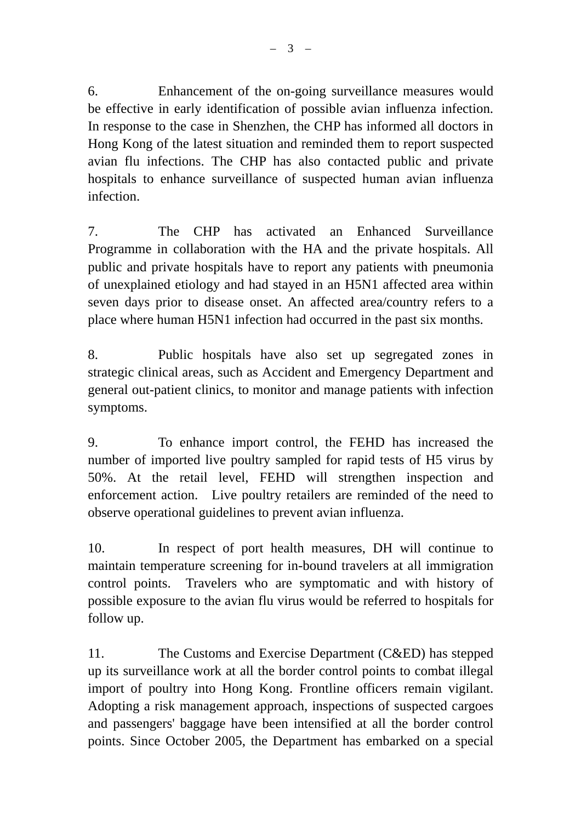6. Enhancement of the on-going surveillance measures would be effective in early identification of possible avian influenza infection. In response to the case in Shenzhen, the CHP has informed all doctors in Hong Kong of the latest situation and reminded them to report suspected avian flu infections. The CHP has also contacted public and private hospitals to enhance surveillance of suspected human avian influenza infection.

7. The CHP has activated an Enhanced Surveillance Programme in collaboration with the HA and the private hospitals. All public and private hospitals have to report any patients with pneumonia of unexplained etiology and had stayed in an H5N1 affected area within seven days prior to disease onset. An affected area/country refers to a place where human H5N1 infection had occurred in the past six months.

8. Public hospitals have also set up segregated zones in strategic clinical areas, such as Accident and Emergency Department and general out-patient clinics, to monitor and manage patients with infection symptoms.

9. To enhance import control, the FEHD has increased the number of imported live poultry sampled for rapid tests of H5 virus by 50%. At the retail level, FEHD will strengthen inspection and enforcement action. Live poultry retailers are reminded of the need to observe operational guidelines to prevent avian influenza.

10. In respect of port health measures, DH will continue to maintain temperature screening for in-bound travelers at all immigration control points. Travelers who are symptomatic and with history of possible exposure to the avian flu virus would be referred to hospitals for follow up.

11. The Customs and Exercise Department (C&ED) has stepped up its surveillance work at all the border control points to combat illegal import of poultry into Hong Kong. Frontline officers remain vigilant. Adopting a risk management approach, inspections of suspected cargoes and passengers' baggage have been intensified at all the border control points. Since October 2005, the Department has embarked on a special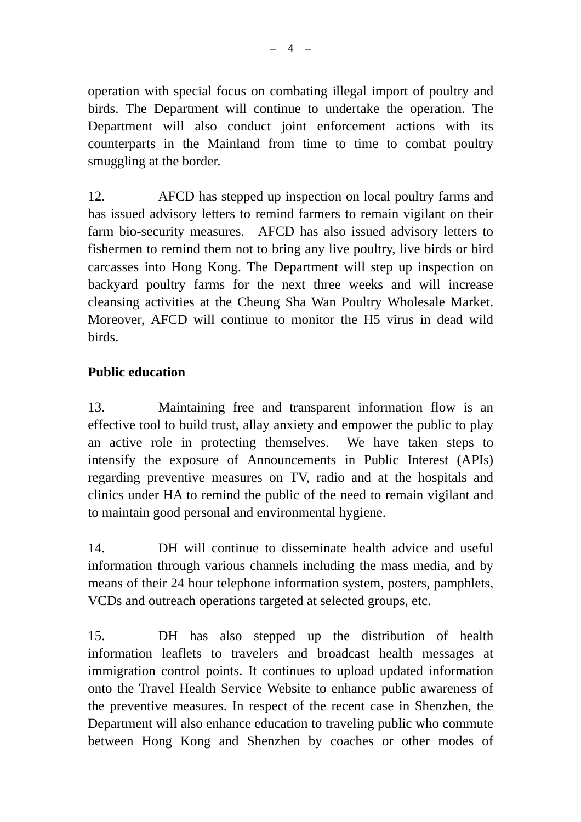operation with special focus on combating illegal import of poultry and birds. The Department will continue to undertake the operation. The Department will also conduct joint enforcement actions with its counterparts in the Mainland from time to time to combat poultry smuggling at the border.

12. AFCD has stepped up inspection on local poultry farms and has issued advisory letters to remind farmers to remain vigilant on their farm bio-security measures. AFCD has also issued advisory letters to fishermen to remind them not to bring any live poultry, live birds or bird carcasses into Hong Kong. The Department will step up inspection on backyard poultry farms for the next three weeks and will increase cleansing activities at the Cheung Sha Wan Poultry Wholesale Market. Moreover, AFCD will continue to monitor the H5 virus in dead wild birds.

# **Public education**

13. Maintaining free and transparent information flow is an effective tool to build trust, allay anxiety and empower the public to play an active role in protecting themselves. We have taken steps to intensify the exposure of Announcements in Public Interest (APIs) regarding preventive measures on TV, radio and at the hospitals and clinics under HA to remind the public of the need to remain vigilant and to maintain good personal and environmental hygiene.

14. DH will continue to disseminate health advice and useful information through various channels including the mass media, and by means of their 24 hour telephone information system, posters, pamphlets, VCDs and outreach operations targeted at selected groups, etc.

15. DH has also stepped up the distribution of health information leaflets to travelers and broadcast health messages at immigration control points. It continues to upload updated information onto the Travel Health Service Website to enhance public awareness of the preventive measures. In respect of the recent case in Shenzhen, the Department will also enhance education to traveling public who commute between Hong Kong and Shenzhen by coaches or other modes of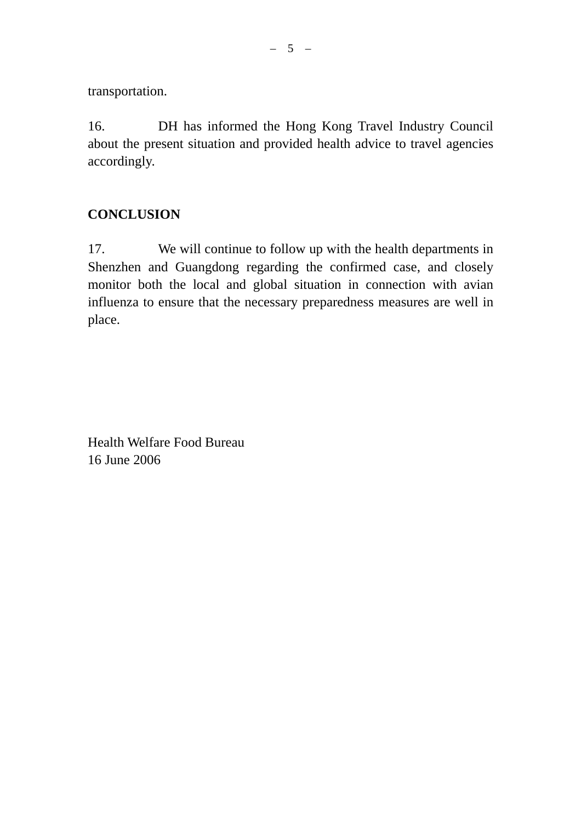transportation.

16. DH has informed the Hong Kong Travel Industry Council about the present situation and provided health advice to travel agencies accordingly.

# **CONCLUSION**

17. We will continue to follow up with the health departments in Shenzhen and Guangdong regarding the confirmed case, and closely monitor both the local and global situation in connection with avian influenza to ensure that the necessary preparedness measures are well in place.

Health Welfare Food Bureau 16 June 2006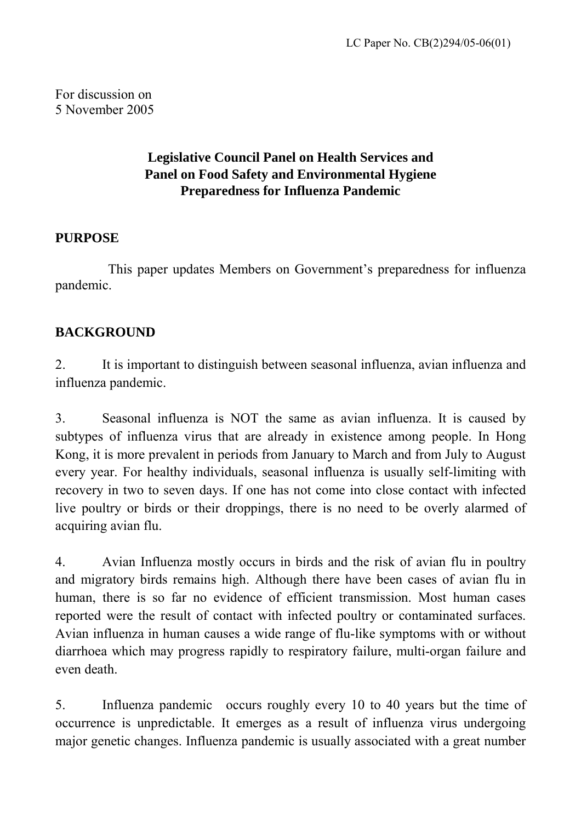For discussion on 5 November 2005

# **Legislative Council Panel on Health Services and Panel on Food Safety and Environmental Hygiene Preparedness for Influenza Pandemic**

# **PURPOSE**

 This paper updates Members on Government's preparedness for influenza pandemic.

# **BACKGROUND**

2. It is important to distinguish between seasonal influenza, avian influenza and influenza pandemic.

3. Seasonal influenza is NOT the same as avian influenza. It is caused by subtypes of influenza virus that are already in existence among people. In Hong Kong, it is more prevalent in periods from January to March and from July to August every year. For healthy individuals, seasonal influenza is usually self-limiting with recovery in two to seven days. If one has not come into close contact with infected live poultry or birds or their droppings, there is no need to be overly alarmed of acquiring avian flu.

4. Avian Influenza mostly occurs in birds and the risk of avian flu in poultry and migratory birds remains high. Although there have been cases of avian flu in human, there is so far no evidence of efficient transmission. Most human cases reported were the result of contact with infected poultry or contaminated surfaces. Avian influenza in human causes a wide range of flu-like symptoms with or without diarrhoea which may progress rapidly to respiratory failure, multi-organ failure and even death.

5. Influenza pandemic occurs roughly every 10 to 40 years but the time of occurrence is unpredictable. It emerges as a result of influenza virus undergoing major genetic changes. Influenza pandemic is usually associated with a great number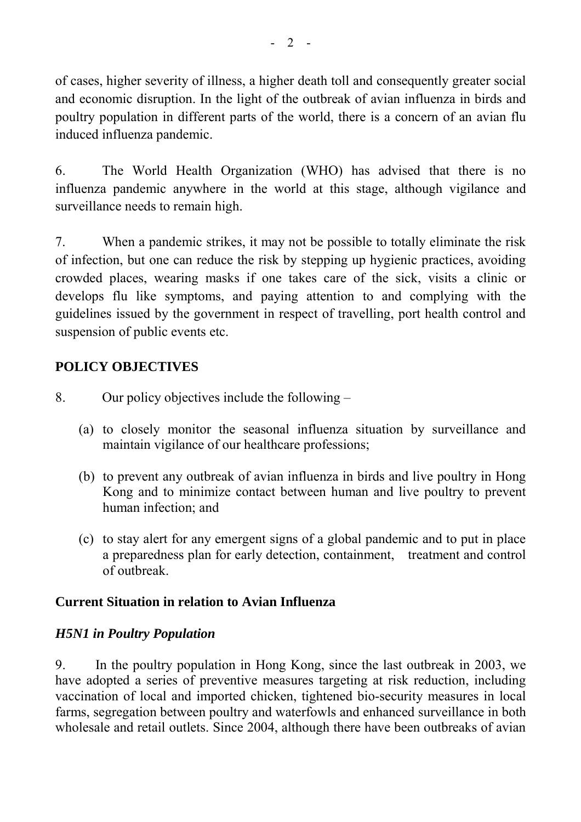of cases, higher severity of illness, a higher death toll and consequently greater social and economic disruption. In the light of the outbreak of avian influenza in birds and poultry population in different parts of the world, there is a concern of an avian flu induced influenza pandemic.

6. The World Health Organization (WHO) has advised that there is no influenza pandemic anywhere in the world at this stage, although vigilance and surveillance needs to remain high.

7. When a pandemic strikes, it may not be possible to totally eliminate the risk of infection, but one can reduce the risk by stepping up hygienic practices, avoiding crowded places, wearing masks if one takes care of the sick, visits a clinic or develops flu like symptoms, and paying attention to and complying with the guidelines issued by the government in respect of travelling, port health control and suspension of public events etc.

# **POLICY OBJECTIVES**

- 8. Our policy objectives include the following
	- (a) to closely monitor the seasonal influenza situation by surveillance and maintain vigilance of our healthcare professions;
	- (b) to prevent any outbreak of avian influenza in birds and live poultry in Hong Kong and to minimize contact between human and live poultry to prevent human infection; and
	- (c) to stay alert for any emergent signs of a global pandemic and to put in place a preparedness plan for early detection, containment, treatment and control of outbreak.

# **Current Situation in relation to Avian Influenza**

# *H5N1 in Poultry Population*

9. In the poultry population in Hong Kong, since the last outbreak in 2003, we have adopted a series of preventive measures targeting at risk reduction, including vaccination of local and imported chicken, tightened bio-security measures in local farms, segregation between poultry and waterfowls and enhanced surveillance in both wholesale and retail outlets. Since 2004, although there have been outbreaks of avian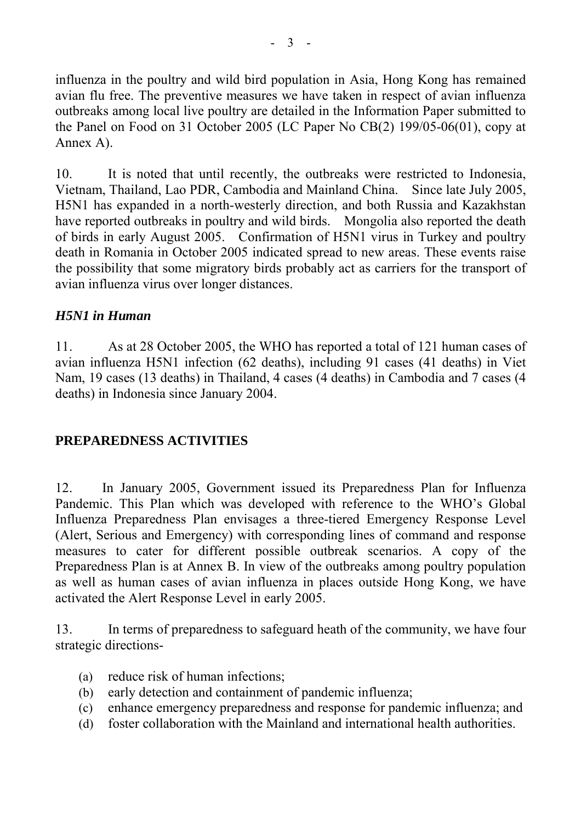influenza in the poultry and wild bird population in Asia, Hong Kong has remained avian flu free. The preventive measures we have taken in respect of avian influenza outbreaks among local live poultry are detailed in the Information Paper submitted to the Panel on Food on 31 October 2005 (LC Paper No CB(2) 199/05-06(01), copy at Annex A).

10. It is noted that until recently, the outbreaks were restricted to Indonesia, Vietnam, Thailand, Lao PDR, Cambodia and Mainland China. Since late July 2005, H5N1 has expanded in a north-westerly direction, and both Russia and Kazakhstan have reported outbreaks in poultry and wild birds. Mongolia also reported the death of birds in early August 2005. Confirmation of H5N1 virus in Turkey and poultry death in Romania in October 2005 indicated spread to new areas. These events raise the possibility that some migratory birds probably act as carriers for the transport of avian influenza virus over longer distances.

### *H5N1 in Human*

11. As at 28 October 2005, the WHO has reported a total of 121 human cases of avian influenza H5N1 infection (62 deaths), including 91 cases (41 deaths) in Viet Nam, 19 cases (13 deaths) in Thailand, 4 cases (4 deaths) in Cambodia and 7 cases (4 deaths) in Indonesia since January 2004.

# **PREPAREDNESS ACTIVITIES**

12. In January 2005, Government issued its Preparedness Plan for Influenza Pandemic. This Plan which was developed with reference to the WHO's Global Influenza Preparedness Plan envisages a three-tiered Emergency Response Level (Alert, Serious and Emergency) with corresponding lines of command and response measures to cater for different possible outbreak scenarios. A copy of the Preparedness Plan is at Annex B. In view of the outbreaks among poultry population as well as human cases of avian influenza in places outside Hong Kong, we have activated the Alert Response Level in early 2005.

13. In terms of preparedness to safeguard heath of the community, we have four strategic directions-

- (a) reduce risk of human infections;
- (b) early detection and containment of pandemic influenza;
- (c) enhance emergency preparedness and response for pandemic influenza; and
- (d) foster collaboration with the Mainland and international health authorities.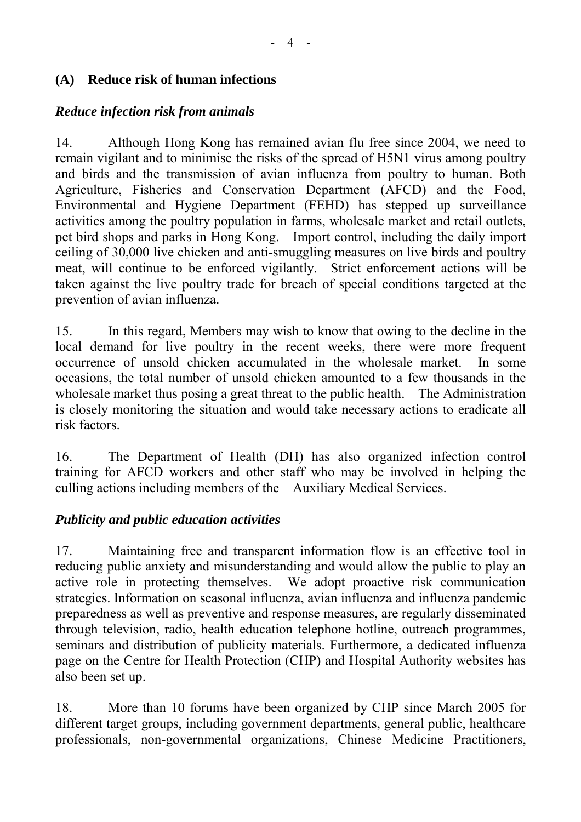# **(A) Reduce risk of human infections**

# *Reduce infection risk from animals*

14. Although Hong Kong has remained avian flu free since 2004, we need to remain vigilant and to minimise the risks of the spread of H5N1 virus among poultry and birds and the transmission of avian influenza from poultry to human. Both Agriculture, Fisheries and Conservation Department (AFCD) and the Food, Environmental and Hygiene Department (FEHD) has stepped up surveillance activities among the poultry population in farms, wholesale market and retail outlets, pet bird shops and parks in Hong Kong. Import control, including the daily import ceiling of 30,000 live chicken and anti-smuggling measures on live birds and poultry meat, will continue to be enforced vigilantly. Strict enforcement actions will be taken against the live poultry trade for breach of special conditions targeted at the prevention of avian influenza.

15. In this regard, Members may wish to know that owing to the decline in the local demand for live poultry in the recent weeks, there were more frequent occurrence of unsold chicken accumulated in the wholesale market. In some occasions, the total number of unsold chicken amounted to a few thousands in the wholesale market thus posing a great threat to the public health. The Administration is closely monitoring the situation and would take necessary actions to eradicate all risk factors.

16. The Department of Health (DH) has also organized infection control training for AFCD workers and other staff who may be involved in helping the culling actions including members of the Auxiliary Medical Services.

# *Publicity and public education activities*

17. Maintaining free and transparent information flow is an effective tool in reducing public anxiety and misunderstanding and would allow the public to play an active role in protecting themselves. We adopt proactive risk communication strategies. Information on seasonal influenza, avian influenza and influenza pandemic preparedness as well as preventive and response measures, are regularly disseminated through television, radio, health education telephone hotline, outreach programmes, seminars and distribution of publicity materials. Furthermore, a dedicated influenza page on the Centre for Health Protection (CHP) and Hospital Authority websites has also been set up.

18. More than 10 forums have been organized by CHP since March 2005 for different target groups, including government departments, general public, healthcare professionals, non-governmental organizations, Chinese Medicine Practitioners,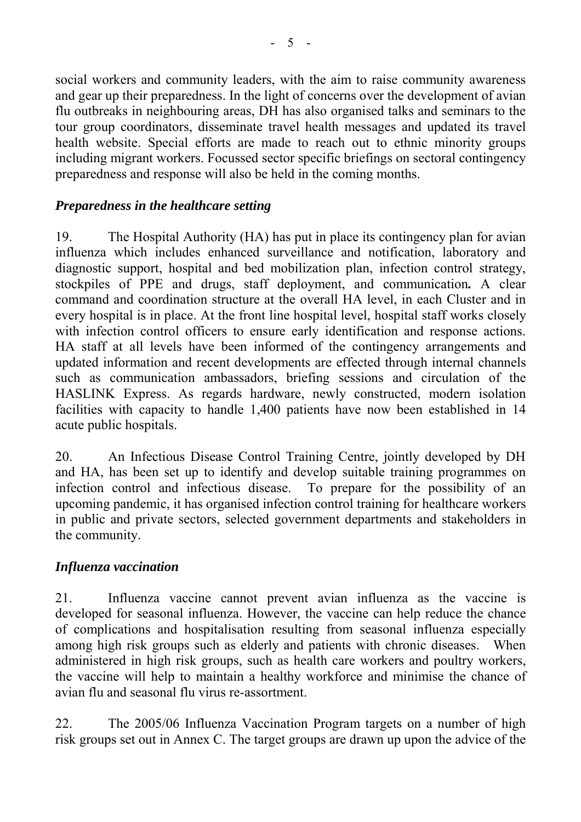social workers and community leaders, with the aim to raise community awareness and gear up their preparedness. In the light of concerns over the development of avian flu outbreaks in neighbouring areas, DH has also organised talks and seminars to the tour group coordinators, disseminate travel health messages and updated its travel health website. Special efforts are made to reach out to ethnic minority groups including migrant workers. Focussed sector specific briefings on sectoral contingency preparedness and response will also be held in the coming months.

# *Preparedness in the healthcare setting*

19. The Hospital Authority (HA) has put in place its contingency plan for avian influenza which includes enhanced surveillance and notification, laboratory and diagnostic support, hospital and bed mobilization plan, infection control strategy, stockpiles of PPE and drugs, staff deployment, and communication*.* A clear command and coordination structure at the overall HA level, in each Cluster and in every hospital is in place. At the front line hospital level, hospital staff works closely with infection control officers to ensure early identification and response actions. HA staff at all levels have been informed of the contingency arrangements and updated information and recent developments are effected through internal channels such as communication ambassadors, briefing sessions and circulation of the HASLINK Express. As regards hardware, newly constructed, modern isolation facilities with capacity to handle 1,400 patients have now been established in 14 acute public hospitals.

20. An Infectious Disease Control Training Centre, jointly developed by DH and HA, has been set up to identify and develop suitable training programmes on infection control and infectious disease. To prepare for the possibility of an upcoming pandemic, it has organised infection control training for healthcare workers in public and private sectors, selected government departments and stakeholders in the community.

# *Influenza vaccination*

21. Influenza vaccine cannot prevent avian influenza as the vaccine is developed for seasonal influenza. However, the vaccine can help reduce the chance of complications and hospitalisation resulting from seasonal influenza especially among high risk groups such as elderly and patients with chronic diseases. When administered in high risk groups, such as health care workers and poultry workers, the vaccine will help to maintain a healthy workforce and minimise the chance of avian flu and seasonal flu virus re-assortment.

22. The 2005/06 Influenza Vaccination Program targets on a number of high risk groups set out in Annex C. The target groups are drawn up upon the advice of the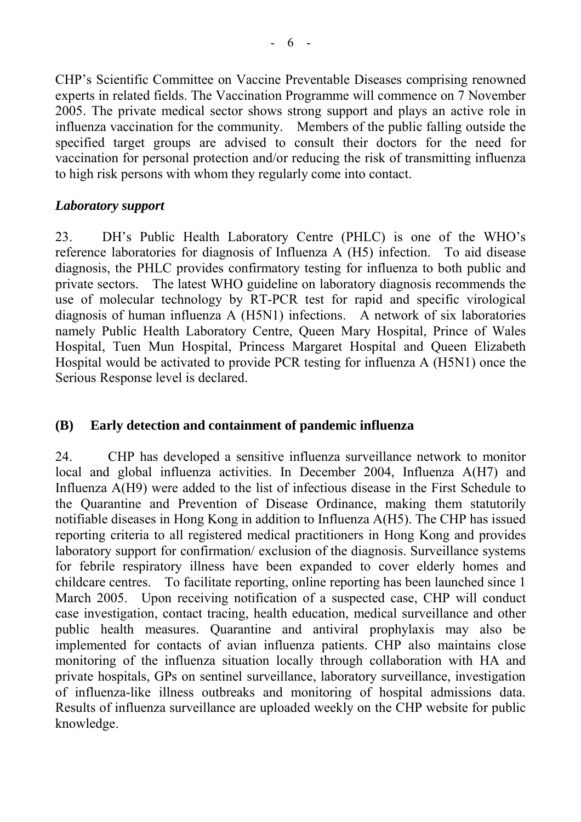CHP's Scientific Committee on Vaccine Preventable Diseases comprising renowned experts in related fields. The Vaccination Programme will commence on 7 November 2005. The private medical sector shows strong support and plays an active role in influenza vaccination for the community. Members of the public falling outside the specified target groups are advised to consult their doctors for the need for vaccination for personal protection and/or reducing the risk of transmitting influenza to high risk persons with whom they regularly come into contact.

# *Laboratory support*

23. DH's Public Health Laboratory Centre (PHLC) is one of the WHO's reference laboratories for diagnosis of Influenza A (H5) infection. To aid disease diagnosis, the PHLC provides confirmatory testing for influenza to both public and private sectors. The latest WHO guideline on laboratory diagnosis recommends the use of molecular technology by RT-PCR test for rapid and specific virological diagnosis of human influenza A (H5N1) infections. A network of six laboratories namely Public Health Laboratory Centre, Queen Mary Hospital, Prince of Wales Hospital, Tuen Mun Hospital, Princess Margaret Hospital and Queen Elizabeth Hospital would be activated to provide PCR testing for influenza A (H5N1) once the Serious Response level is declared.

# **(B) Early detection and containment of pandemic influenza**

24. CHP has developed a sensitive influenza surveillance network to monitor local and global influenza activities. In December 2004, Influenza A(H7) and Influenza A(H9) were added to the list of infectious disease in the First Schedule to the Quarantine and Prevention of Disease Ordinance, making them statutorily notifiable diseases in Hong Kong in addition to Influenza A(H5). The CHP has issued reporting criteria to all registered medical practitioners in Hong Kong and provides laboratory support for confirmation/ exclusion of the diagnosis. Surveillance systems for febrile respiratory illness have been expanded to cover elderly homes and childcare centres. To facilitate reporting, online reporting has been launched since 1 March 2005. Upon receiving notification of a suspected case, CHP will conduct case investigation, contact tracing, health education, medical surveillance and other public health measures. Quarantine and antiviral prophylaxis may also be implemented for contacts of avian influenza patients. CHP also maintains close monitoring of the influenza situation locally through collaboration with HA and private hospitals, GPs on sentinel surveillance, laboratory surveillance, investigation of influenza-like illness outbreaks and monitoring of hospital admissions data. Results of influenza surveillance are uploaded weekly on the CHP website for public knowledge.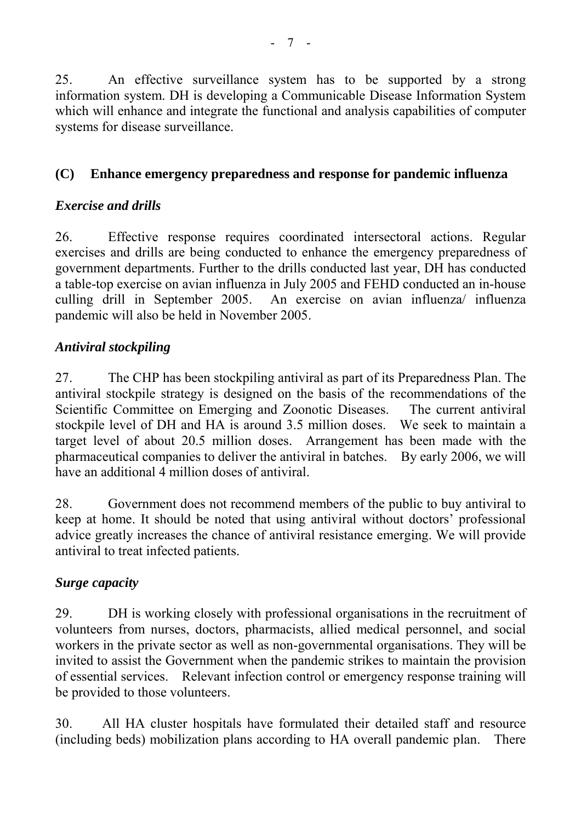25. An effective surveillance system has to be supported by a strong information system. DH is developing a Communicable Disease Information System which will enhance and integrate the functional and analysis capabilities of computer systems for disease surveillance.

# **(C) Enhance emergency preparedness and response for pandemic influenza**

# *Exercise and drills*

26. Effective response requires coordinated intersectoral actions. Regular exercises and drills are being conducted to enhance the emergency preparedness of government departments. Further to the drills conducted last year, DH has conducted a table-top exercise on avian influenza in July 2005 and FEHD conducted an in-house culling drill in September 2005. An exercise on avian influenza/ influenza pandemic will also be held in November 2005.

# *Antiviral stockpiling*

27. The CHP has been stockpiling antiviral as part of its Preparedness Plan. The antiviral stockpile strategy is designed on the basis of the recommendations of the Scientific Committee on Emerging and Zoonotic Diseases. The current antiviral stockpile level of DH and HA is around 3.5 million doses. We seek to maintain a target level of about 20.5 million doses. Arrangement has been made with the pharmaceutical companies to deliver the antiviral in batches. By early 2006, we will have an additional 4 million doses of antiviral.

28. Government does not recommend members of the public to buy antiviral to keep at home. It should be noted that using antiviral without doctors' professional advice greatly increases the chance of antiviral resistance emerging. We will provide antiviral to treat infected patients.

# *Surge capacity*

29. DH is working closely with professional organisations in the recruitment of volunteers from nurses, doctors, pharmacists, allied medical personnel, and social workers in the private sector as well as non-governmental organisations. They will be invited to assist the Government when the pandemic strikes to maintain the provision of essential services. Relevant infection control or emergency response training will be provided to those volunteers.

30. All HA cluster hospitals have formulated their detailed staff and resource (including beds) mobilization plans according to HA overall pandemic plan. There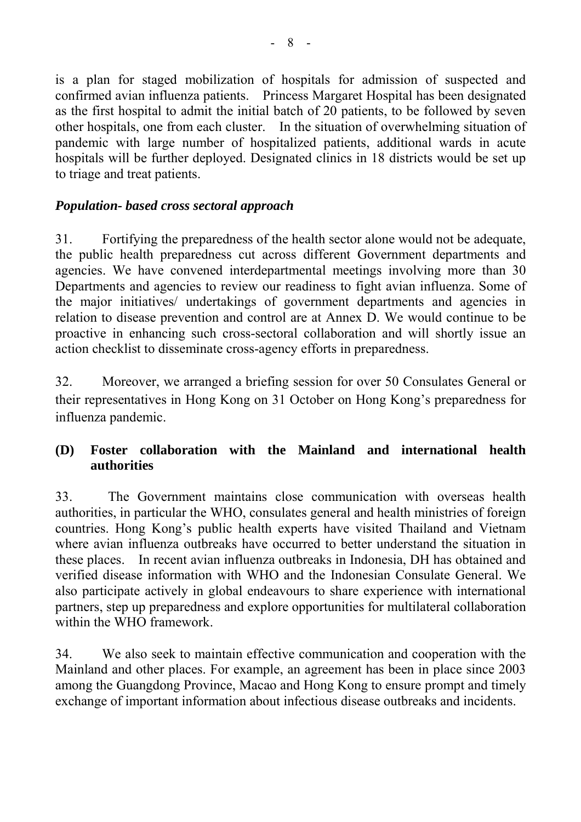is a plan for staged mobilization of hospitals for admission of suspected and confirmed avian influenza patients. Princess Margaret Hospital has been designated as the first hospital to admit the initial batch of 20 patients, to be followed by seven other hospitals, one from each cluster. In the situation of overwhelming situation of pandemic with large number of hospitalized patients, additional wards in acute hospitals will be further deployed. Designated clinics in 18 districts would be set up to triage and treat patients.

# *Population- based cross sectoral approach*

31. Fortifying the preparedness of the health sector alone would not be adequate, the public health preparedness cut across different Government departments and agencies. We have convened interdepartmental meetings involving more than 30 Departments and agencies to review our readiness to fight avian influenza. Some of the major initiatives/ undertakings of government departments and agencies in relation to disease prevention and control are at Annex D. We would continue to be proactive in enhancing such cross-sectoral collaboration and will shortly issue an action checklist to disseminate cross-agency efforts in preparedness.

32. Moreover, we arranged a briefing session for over 50 Consulates General or their representatives in Hong Kong on 31 October on Hong Kong's preparedness for influenza pandemic.

# **(D) Foster collaboration with the Mainland and international health authorities**

33. The Government maintains close communication with overseas health authorities, in particular the WHO, consulates general and health ministries of foreign countries. Hong Kong's public health experts have visited Thailand and Vietnam where avian influenza outbreaks have occurred to better understand the situation in these places. In recent avian influenza outbreaks in Indonesia, DH has obtained and verified disease information with WHO and the Indonesian Consulate General. We also participate actively in global endeavours to share experience with international partners, step up preparedness and explore opportunities for multilateral collaboration within the WHO framework.

34. We also seek to maintain effective communication and cooperation with the Mainland and other places. For example, an agreement has been in place since 2003 among the Guangdong Province, Macao and Hong Kong to ensure prompt and timely exchange of important information about infectious disease outbreaks and incidents.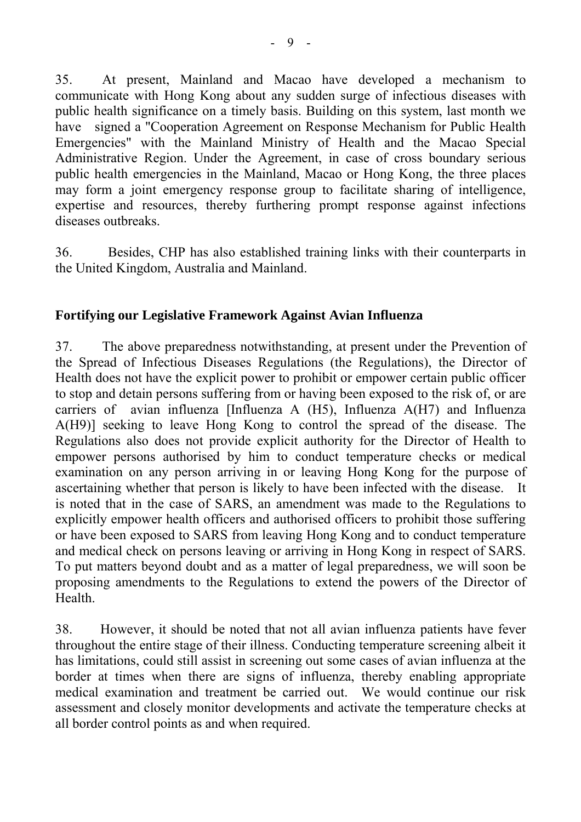35. At present, Mainland and Macao have developed a mechanism to communicate with Hong Kong about any sudden surge of infectious diseases with public health significance on a timely basis. Building on this system, last month we have signed a "Cooperation Agreement on Response Mechanism for Public Health Emergencies" with the Mainland Ministry of Health and the Macao Special Administrative Region. Under the Agreement, in case of cross boundary serious public health emergencies in the Mainland, Macao or Hong Kong, the three places may form a joint emergency response group to facilitate sharing of intelligence, expertise and resources, thereby furthering prompt response against infections diseases outbreaks.

36. Besides, CHP has also established training links with their counterparts in the United Kingdom, Australia and Mainland.

### **Fortifying our Legislative Framework Against Avian Influenza**

37. The above preparedness notwithstanding, at present under the Prevention of the Spread of Infectious Diseases Regulations (the Regulations), the Director of Health does not have the explicit power to prohibit or empower certain public officer to stop and detain persons suffering from or having been exposed to the risk of, or are carriers of avian influenza [Influenza A  $(H5)$ , Influenza  $A(H7)$  and Influenza A(H9)] seeking to leave Hong Kong to control the spread of the disease. The Regulations also does not provide explicit authority for the Director of Health to empower persons authorised by him to conduct temperature checks or medical examination on any person arriving in or leaving Hong Kong for the purpose of ascertaining whether that person is likely to have been infected with the disease. It is noted that in the case of SARS, an amendment was made to the Regulations to explicitly empower health officers and authorised officers to prohibit those suffering or have been exposed to SARS from leaving Hong Kong and to conduct temperature and medical check on persons leaving or arriving in Hong Kong in respect of SARS. To put matters beyond doubt and as a matter of legal preparedness, we will soon be proposing amendments to the Regulations to extend the powers of the Director of Health.

38. However, it should be noted that not all avian influenza patients have fever throughout the entire stage of their illness. Conducting temperature screening albeit it has limitations, could still assist in screening out some cases of avian influenza at the border at times when there are signs of influenza, thereby enabling appropriate medical examination and treatment be carried out. We would continue our risk assessment and closely monitor developments and activate the temperature checks at all border control points as and when required.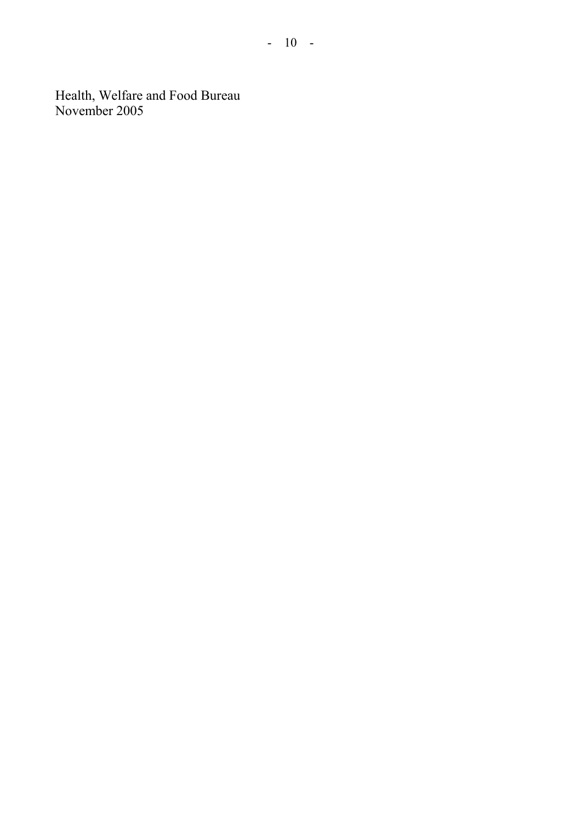Health, Welfare and Food Bureau November 2005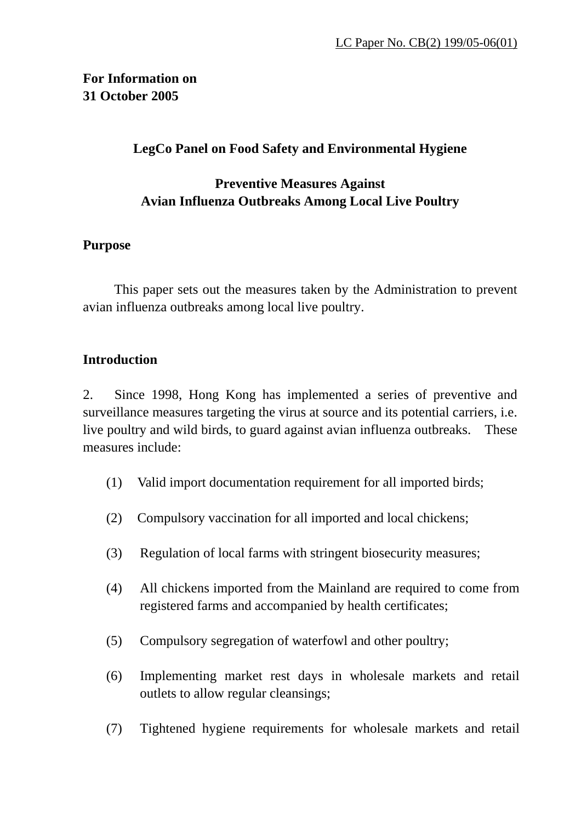# **For Information on 31 October 2005**

### **LegCo Panel on Food Safety and Environmental Hygiene**

# **Preventive Measures Against Avian Influenza Outbreaks Among Local Live Poultry**

### **Purpose**

 This paper sets out the measures taken by the Administration to prevent avian influenza outbreaks among local live poultry.

### **Introduction**

2. Since 1998, Hong Kong has implemented a series of preventive and surveillance measures targeting the virus at source and its potential carriers, i.e. live poultry and wild birds, to guard against avian influenza outbreaks. These measures include:

- (1) Valid import documentation requirement for all imported birds;
- (2) Compulsory vaccination for all imported and local chickens;
- (3) Regulation of local farms with stringent biosecurity measures;
- (4) All chickens imported from the Mainland are required to come from registered farms and accompanied by health certificates;
- (5) Compulsory segregation of waterfowl and other poultry;
- (6) Implementing market rest days in wholesale markets and retail outlets to allow regular cleansings;
- (7) Tightened hygiene requirements for wholesale markets and retail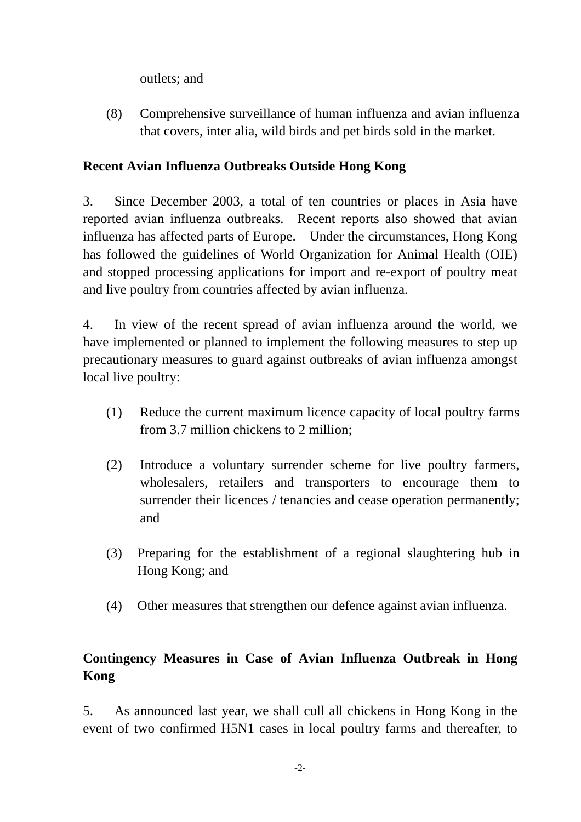outlets; and

(8) Comprehensive surveillance of human influenza and avian influenza that covers, inter alia, wild birds and pet birds sold in the market.

# **Recent Avian Influenza Outbreaks Outside Hong Kong**

3. Since December 2003, a total of ten countries or places in Asia have reported avian influenza outbreaks. Recent reports also showed that avian influenza has affected parts of Europe. Under the circumstances, Hong Kong has followed the guidelines of World Organization for Animal Health (OIE) and stopped processing applications for import and re-export of poultry meat and live poultry from countries affected by avian influenza.

4. In view of the recent spread of avian influenza around the world, we have implemented or planned to implement the following measures to step up precautionary measures to guard against outbreaks of avian influenza amongst local live poultry:

- (1) Reduce the current maximum licence capacity of local poultry farms from 3.7 million chickens to 2 million;
- (2) Introduce a voluntary surrender scheme for live poultry farmers, wholesalers, retailers and transporters to encourage them to surrender their licences / tenancies and cease operation permanently; and
- (3) Preparing for the establishment of a regional slaughtering hub in Hong Kong; and
- (4) Other measures that strengthen our defence against avian influenza.

# **Contingency Measures in Case of Avian Influenza Outbreak in Hong Kong**

5. As announced last year, we shall cull all chickens in Hong Kong in the event of two confirmed H5N1 cases in local poultry farms and thereafter, to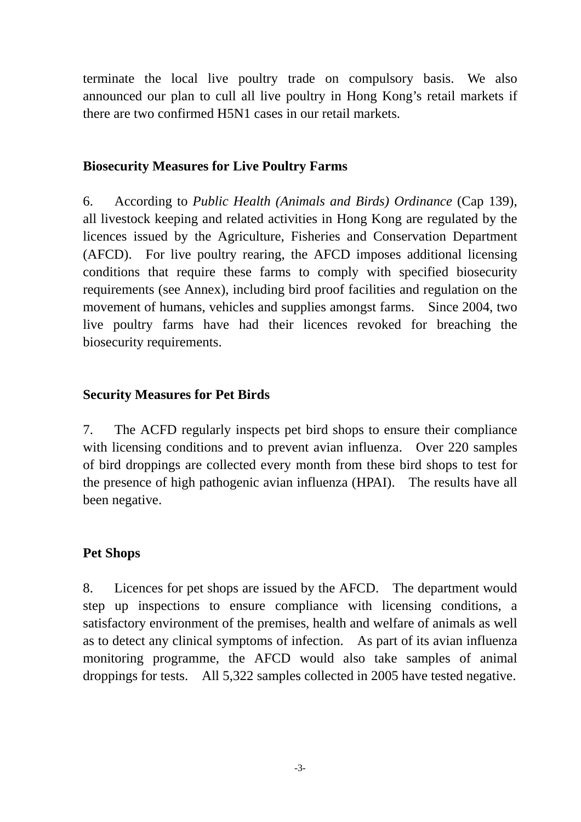terminate the local live poultry trade on compulsory basis. We also announced our plan to cull all live poultry in Hong Kong's retail markets if there are two confirmed H5N1 cases in our retail markets.

### **Biosecurity Measures for Live Poultry Farms**

6. According to *Public Health (Animals and Birds) Ordinance* (Cap 139), all livestock keeping and related activities in Hong Kong are regulated by the licences issued by the Agriculture, Fisheries and Conservation Department (AFCD). For live poultry rearing, the AFCD imposes additional licensing conditions that require these farms to comply with specified biosecurity requirements (see Annex), including bird proof facilities and regulation on the movement of humans, vehicles and supplies amongst farms. Since 2004, two live poultry farms have had their licences revoked for breaching the biosecurity requirements.

### **Security Measures for Pet Birds**

7. The ACFD regularly inspects pet bird shops to ensure their compliance with licensing conditions and to prevent avian influenza. Over 220 samples of bird droppings are collected every month from these bird shops to test for the presence of high pathogenic avian influenza (HPAI). The results have all been negative.

# **Pet Shops**

8. Licences for pet shops are issued by the AFCD. The department would step up inspections to ensure compliance with licensing conditions, a satisfactory environment of the premises, health and welfare of animals as well as to detect any clinical symptoms of infection. As part of its avian influenza monitoring programme, the AFCD would also take samples of animal droppings for tests. All 5,322 samples collected in 2005 have tested negative.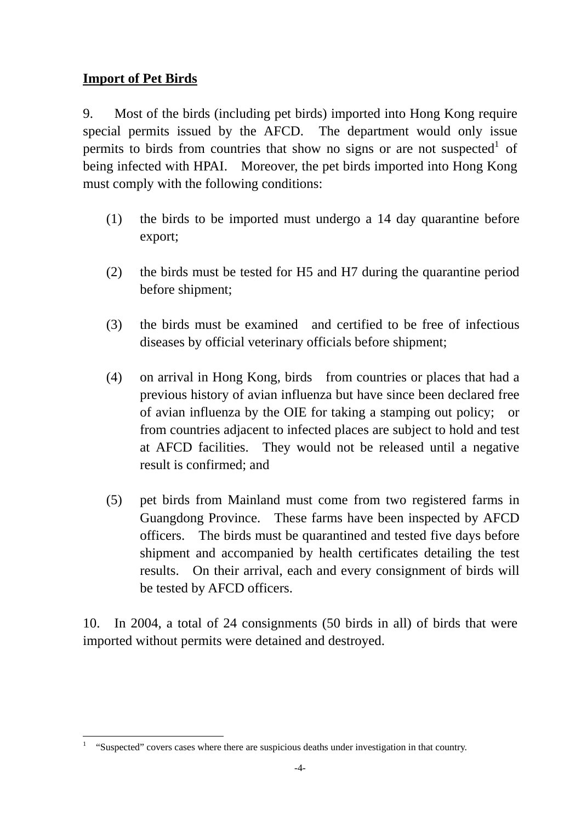# **Import of Pet Birds**

9. Most of the birds (including pet birds) imported into Hong Kong require special permits issued by the AFCD. The department would only issue permits to birds from countries that show no signs or are not suspected of being infected with HPAI. Moreover, the pet birds imported into Hong Kong must comply with the following conditions:

- (1) the birds to be imported must undergo a 14 day quarantine before export;
- (2) the birds must be tested for H5 and H7 during the quarantine period before shipment;
- (3) the birds must be examined and certified to be free of infectious diseases by official veterinary officials before shipment;
- (4) on arrival in Hong Kong, birds from countries or places that had a previous history of avian influenza but have since been declared free of avian influenza by the OIE for taking a stamping out policy; or from countries adjacent to infected places are subject to hold and test at AFCD facilities. They would not be released until a negative result is confirmed; and
- (5) pet birds from Mainland must come from two registered farms in Guangdong Province. These farms have been inspected by AFCD officers. The birds must be quarantined and tested five days before shipment and accompanied by health certificates detailing the test results. On their arrival, each and every consignment of birds will be tested by AFCD officers.

10. In 2004, a total of 24 consignments (50 birds in all) of birds that were imported without permits were detained and destroyed.

 $\overline{a}$ 1 "Suspected" covers cases where there are suspicious deaths under investigation in that country.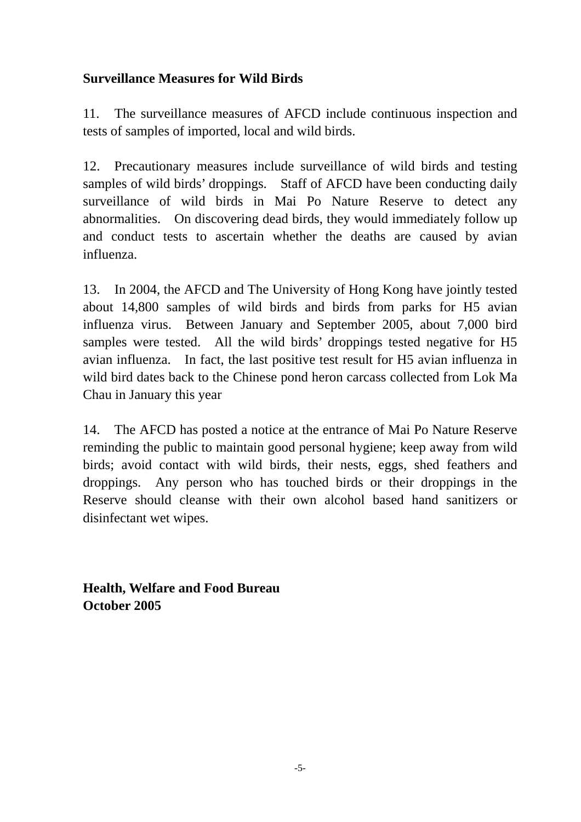# **Surveillance Measures for Wild Birds**

11. The surveillance measures of AFCD include continuous inspection and tests of samples of imported, local and wild birds.

12. Precautionary measures include surveillance of wild birds and testing samples of wild birds' droppings. Staff of AFCD have been conducting daily surveillance of wild birds in Mai Po Nature Reserve to detect any abnormalities. On discovering dead birds, they would immediately follow up and conduct tests to ascertain whether the deaths are caused by avian influenza.

13. In 2004, the AFCD and The University of Hong Kong have jointly tested about 14,800 samples of wild birds and birds from parks for H5 avian influenza virus. Between January and September 2005, about 7,000 bird samples were tested. All the wild birds' droppings tested negative for H5 avian influenza. In fact, the last positive test result for H5 avian influenza in wild bird dates back to the Chinese pond heron carcass collected from Lok Ma Chau in January this year

14. The AFCD has posted a notice at the entrance of Mai Po Nature Reserve reminding the public to maintain good personal hygiene; keep away from wild birds; avoid contact with wild birds, their nests, eggs, shed feathers and droppings. Any person who has touched birds or their droppings in the Reserve should cleanse with their own alcohol based hand sanitizers or disinfectant wet wipes.

**Health, Welfare and Food Bureau October 2005**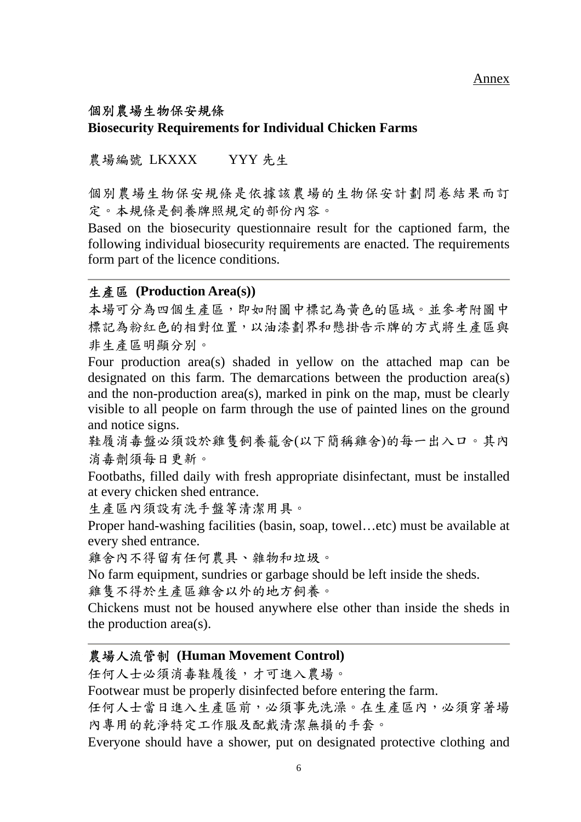# 個別農場生物保安規條 **Biosecurity Requirements for Individual Chicken Farms**

農場編號 LKXXX YYY 先生

個別農場生物保安規條是依據該農場的生物保安計劃問卷結果而訂 定。本規條是飼養牌照規定的部份內容。

Based on the biosecurity questionnaire result for the captioned farm, the following individual biosecurity requirements are enacted. The requirements form part of the licence conditions.

### 生產區 **(Production Area(s))**

本場可分為四個生產區,即如附圖中標記為黃色的區域。並參考附圖中 標記為粉紅色的相對位置,以油漆劃界和懸掛告示牌的方式將生產區與 非生產區明顯分別。

Four production area(s) shaded in yellow on the attached map can be designated on this farm. The demarcations between the production area(s) and the non-production area(s), marked in pink on the map, must be clearly visible to all people on farm through the use of painted lines on the ground and notice signs.

鞋履消毒盤必須設於雞隻飼養籠舍(以下簡稱雞舍)的每一出入口。其內 消毒劑須每日更新。

Footbaths, filled daily with fresh appropriate disinfectant, must be installed at every chicken shed entrance.

生產區內須設有洗手盤等清潔用具。

Proper hand-washing facilities (basin, soap, towel…etc) must be available at every shed entrance.

雞舍內不得留有任何農具、雜物和垃圾。

No farm equipment, sundries or garbage should be left inside the sheds.

雞隻不得於生產區雞舍以外的地方飼養。

Chickens must not be housed anywhere else other than inside the sheds in the production area(s).

# 農場人流管制 **(Human Movement Control)**

任何人士必須消毒鞋履後,才可進入農場。

Footwear must be properly disinfected before entering the farm.

任何人士當日進入生產區前,必須事先洗澡。在生產區內,必須穿著場 內專用的乾淨特定工作服及配戴清潔無損的手套。

Everyone should have a shower, put on designated protective clothing and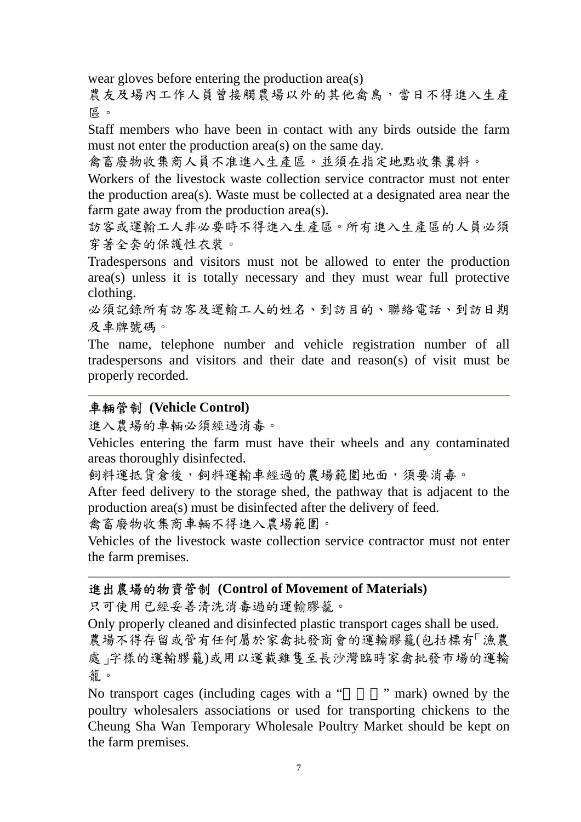wear gloves before entering the production area(s)

農友及場內工作人員曾接觸農場以外的其他禽鳥,當日不得進入生產 區。

Staff members who have been in contact with any birds outside the farm must not enter the production area(s) on the same day.

禽畜廢物收集商人員不准進入生產區。並須在指定地點收集糞料。

Workers of the livestock waste collection service contractor must not enter the production area(s). Waste must be collected at a designated area near the farm gate away from the production area(s).

訪客或運輸工人非必要時不得進入生產區。所有進入生產區的人員必須 穿著全套的保護性衣裝。

Tradespersons and visitors must not be allowed to enter the production area(s) unless it is totally necessary and they must wear full protective clothing.

必須記錄所有訪客及運輸工人的姓名、到訪目的、聯絡電話、到訪日期 及車牌號碼。

The name, telephone number and vehicle registration number of all tradespersons and visitors and their date and reason(s) of visit must be properly recorded.

### 車輛管制 **(Vehicle Control)**

進入農場的車輛必須經過消毒。

Vehicles entering the farm must have their wheels and any contaminated areas thoroughly disinfected.

飼料運抵貨倉後,飼料運輸車經過的農場範圍地面,須要消毒。

After feed delivery to the storage shed, the pathway that is adjacent to the production area(s) must be disinfected after the delivery of feed.

禽畜廢物收集商車輛不得進入農場範圍。

Vehicles of the livestock waste collection service contractor must not enter the farm premises.

### 進出農場的物資管制 **(Control of Movement of Materials)**

只可使用已經妥善清洗消毒過的運輸膠籠。

Only properly cleaned and disinfected plastic transport cages shall be used. 農場不得存留或管有任何屬於家禽批發商會的運輸膠籠(包括標有「漁農 處」字樣的運輸膠籠)或用以運載雞隻至長沙灣臨時家禽批發市場的運輸 籠。

No transport cages (including cages with a " mark) owned by the poultry wholesalers associations or used for transporting chickens to the Cheung Sha Wan Temporary Wholesale Poultry Market should be kept on the farm premises.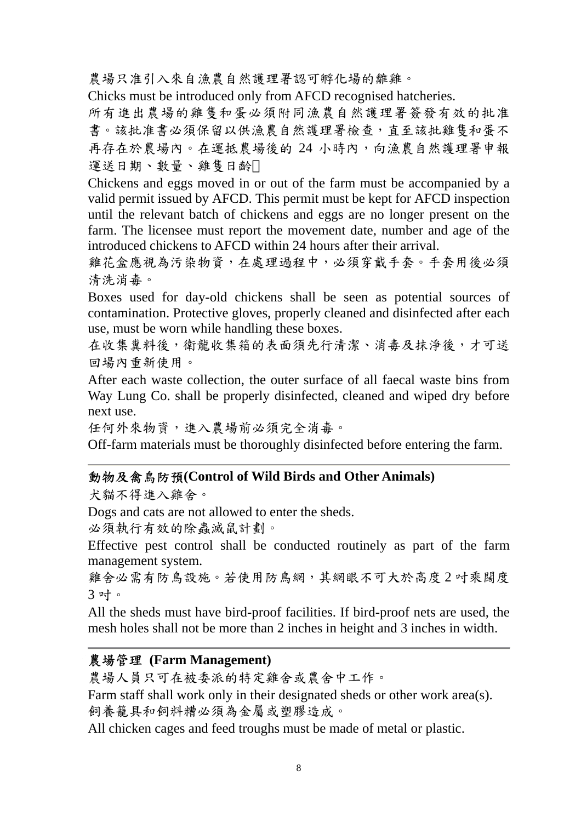農場只准引入來自漁農自然護理署認可孵化場的雛雞。

Chicks must be introduced only from AFCD recognised hatcheries.

所有進出農場的雞隻和蛋必須附同漁農自然護理署簽發有效的批准 書。該批准書必須保留以供漁農自然護理署檢查,直至該批雞隻和蛋不 再存在於農場內。在運抵農場後的 24 小時內,向漁農自然護理署申報 運送日期、數量、雞隻日齡

Chickens and eggs moved in or out of the farm must be accompanied by a valid permit issued by AFCD. This permit must be kept for AFCD inspection until the relevant batch of chickens and eggs are no longer present on the farm. The licensee must report the movement date, number and age of the introduced chickens to AFCD within 24 hours after their arrival.

雞花盒應視為污染物資,在處理過程中,必須穿戴手套。手套用後必須 清洗消毒。

Boxes used for day-old chickens shall be seen as potential sources of contamination. Protective gloves, properly cleaned and disinfected after each use, must be worn while handling these boxes.

在收集糞料後,衛龍收集箱的表面須先行清潔、消毒及抹淨後,才可送 回場內重新使用。

After each waste collection, the outer surface of all faecal waste bins from Way Lung Co. shall be properly disinfected, cleaned and wiped dry before next use.

任何外來物資,進入農場前必須完全消毒。

Off-farm materials must be thoroughly disinfected before entering the farm.

#### 動物及禽鳥防預**(Control of Wild Birds and Other Animals)**

犬貓不得進入雞舍。

Dogs and cats are not allowed to enter the sheds.

必須執行有效的除蟲滅鼠計劃。

Effective pest control shall be conducted routinely as part of the farm management system.

雞舍必需有防鳥設施。若使用防鳥網,其網眼不可大於高度2 吋乘闊度 3 叶。

All the sheds must have bird-proof facilities. If bird-proof nets are used, the mesh holes shall not be more than 2 inches in height and 3 inches in width.

### 農場管理 **(Farm Management)**

農場人員只可在被委派的特定雞舍或農舍中工作。

Farm staff shall work only in their designated sheds or other work area(s). 飼養籠具和飼料糟必須為金屬或塑膠造成。

All chicken cages and feed troughs must be made of metal or plastic.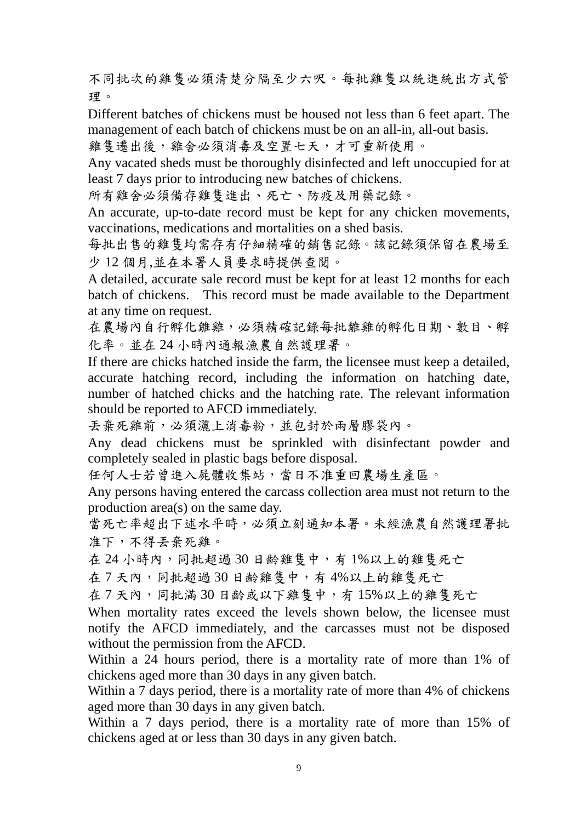不同批次的雞隻必須清楚分隔至少六呎。每批雞隻以統進統出方式管 理。

Different batches of chickens must be housed not less than 6 feet apart. The management of each batch of chickens must be on an all-in, all-out basis.

雞隻遷出後,雞舍必須消毒及空置七天,才可重新使用。

Any vacated sheds must be thoroughly disinfected and left unoccupied for at least 7 days prior to introducing new batches of chickens.

所有雞舍必須備存雞隻進出、死亡、防疫及用藥記錄。

An accurate, up-to-date record must be kept for any chicken movements, vaccinations, medications and mortalities on a shed basis.

每批出售的雞隻均需存有仔細精確的銷售記錄。該記錄須保留在農場至 少 12 個月,並在本署人員要求時提供查閱。

A detailed, accurate sale record must be kept for at least 12 months for each batch of chickens. This record must be made available to the Department at any time on request.

在農場內自行孵化雛雞,必須精確記錄每批雛雞的孵化日期、數目、孵 化率。並在 24 小時內通報漁農自然護理署。

If there are chicks hatched inside the farm, the licensee must keep a detailed, accurate hatching record, including the information on hatching date, number of hatched chicks and the hatching rate. The relevant information should be reported to AFCD immediately.

丟棄死雞前,必須灑上消毒粉,並包封於兩層膠袋內。

Any dead chickens must be sprinkled with disinfectant powder and completely sealed in plastic bags before disposal.

任何人士若曾進入屍體收集站,當日不准重回農場生產區。

Any persons having entered the carcass collection area must not return to the production area(s) on the same day.

當死亡率超出下述水平時,必須立刻通知本署。未經漁農自然護理署批 准下,不得丟棄死雞。

在 24 小時內,同批超過 30 日齡雞隻中,有1%以上的雞隻死亡

在7天內,同批超過30日齡雞隻中,有4%以上的雞隻死亡

在7天內,同批滿30日齡或以下雞隻中,有15%以上的雞隻死亡

When mortality rates exceed the levels shown below, the licensee must notify the AFCD immediately, and the carcasses must not be disposed without the permission from the AFCD.

Within a 24 hours period, there is a mortality rate of more than 1% of chickens aged more than 30 days in any given batch.

Within a 7 days period, there is a mortality rate of more than 4% of chickens aged more than 30 days in any given batch.

Within a 7 days period, there is a mortality rate of more than 15% of chickens aged at or less than 30 days in any given batch.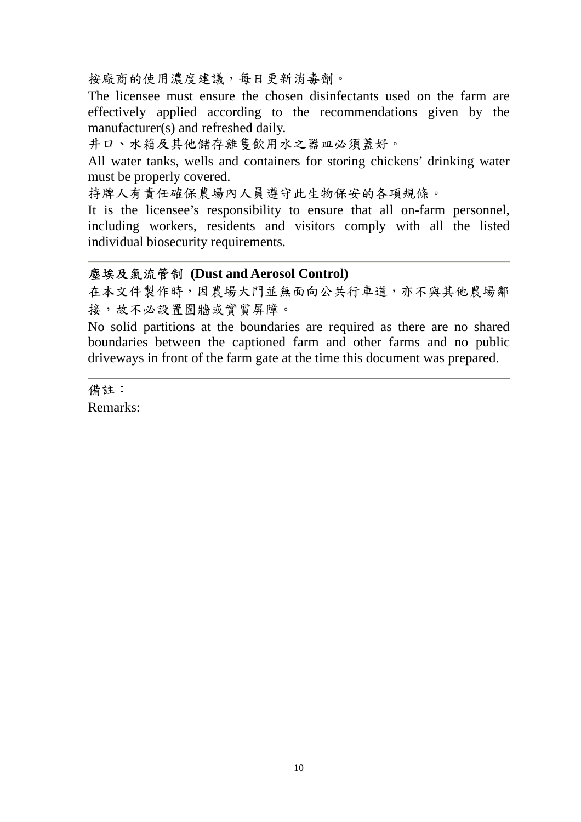按廠商的使用濃度建議,每日更新消毒劑。

The licensee must ensure the chosen disinfectants used on the farm are effectively applied according to the recommendations given by the manufacturer(s) and refreshed daily.

井口、水箱及其他儲存雞隻飲用水之器皿必須蓋好。

All water tanks, wells and containers for storing chickens' drinking water must be properly covered.

持牌人有責任確保農場內人員遵守此生物保安的各項規條。

It is the licensee's responsibility to ensure that all on-farm personnel, including workers, residents and visitors comply with all the listed individual biosecurity requirements.

### 塵埃及氣流管制 **(Dust and Aerosol Control)**

在本文件製作時,因農場大門並無面向公共行車道,亦不與其他農場鄰 接,故不必設置圍牆或實質屏障。

No solid partitions at the boundaries are required as there are no shared boundaries between the captioned farm and other farms and no public driveways in front of the farm gate at the time this document was prepared.

備註: Remarks: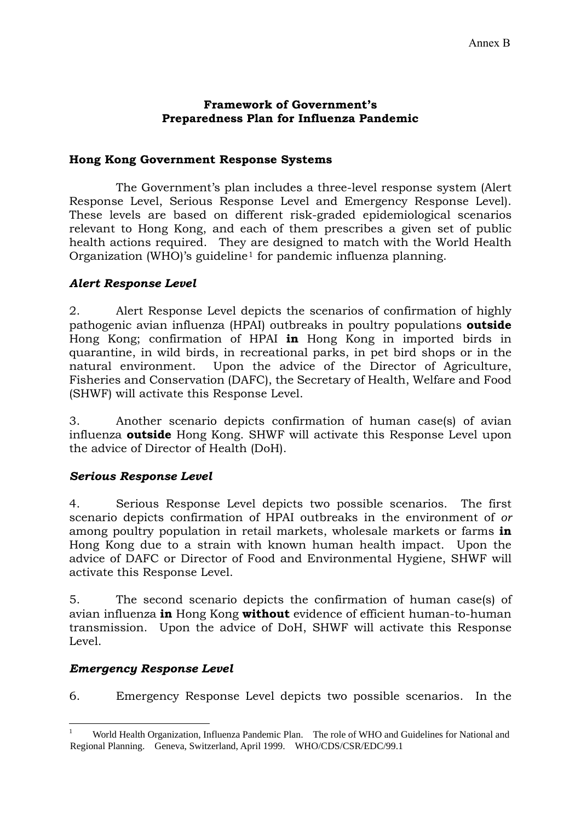#### **Framework of Government's Preparedness Plan for Influenza Pandemic**

### **Hong Kong Government Response Systems**

 The Government's plan includes a three-level response system (Alert Response Level, Serious Response Level and Emergency Response Level). These levels are based on different risk-graded epidemiological scenarios relevant to Hong Kong, and each of them prescribes a given set of public health actions required. They are designed to match with the World Health Organization (WHO)'s guideline[1](#page-25-0) for pandemic influenza planning.

### *Alert Response Level*

2. Alert Response Level depicts the scenarios of confirmation of highly pathogenic avian influenza (HPAI) outbreaks in poultry populations **outside** Hong Kong; confirmation of HPAI **in** Hong Kong in imported birds in quarantine, in wild birds, in recreational parks, in pet bird shops or in the natural environment. Upon the advice of the Director of Agriculture, Fisheries and Conservation (DAFC), the Secretary of Health, Welfare and Food (SHWF) will activate this Response Level.

3. Another scenario depicts confirmation of human case(s) of avian influenza **outside** Hong Kong. SHWF will activate this Response Level upon the advice of Director of Health (DoH).

### *Serious Response Level*

4. Serious Response Level depicts two possible scenarios. The first scenario depicts confirmation of HPAI outbreaks in the environment of *or*  among poultry population in retail markets, wholesale markets or farms **in** Hong Kong due to a strain with known human health impact. Upon the advice of DAFC or Director of Food and Environmental Hygiene, SHWF will activate this Response Level.

5. The second scenario depicts the confirmation of human case(s) of avian influenza **in** Hong Kong **without** evidence of efficient human-to-human transmission. Upon the advice of DoH, SHWF will activate this Response Level.

### *Emergency Response Level*

6. Emergency Response Level depicts two possible scenarios. In the

<span id="page-25-0"></span><sup>&</sup>lt;u>.</u> 1 World Health Organization, Influenza Pandemic Plan. The role of WHO and Guidelines for National and Regional Planning. Geneva, Switzerland, April 1999. WHO/CDS/CSR/EDC/99.1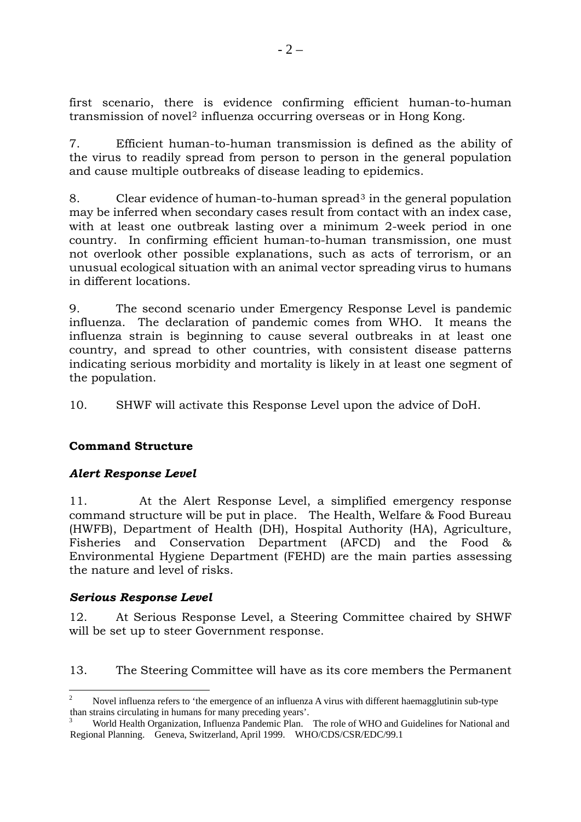first scenario, there is evidence confirming efficient human-to-human transmission of novel<sup>[2](#page-26-0)</sup> influenza occurring overseas or in Hong Kong.

7. Efficient human-to-human transmission is defined as the ability of the virus to readily spread from person to person in the general population and cause multiple outbreaks of disease leading to epidemics.

8. Clear evidence of human-to-human spread[3](#page-26-1) in the general population may be inferred when secondary cases result from contact with an index case, with at least one outbreak lasting over a minimum 2-week period in one country. In confirming efficient human-to-human transmission, one must not overlook other possible explanations, such as acts of terrorism, or an unusual ecological situation with an animal vector spreading virus to humans in different locations.

9. The second scenario under Emergency Response Level is pandemic influenza. The declaration of pandemic comes from WHO. It means the influenza strain is beginning to cause several outbreaks in at least one country, and spread to other countries, with consistent disease patterns indicating serious morbidity and mortality is likely in at least one segment of the population.

10. SHWF will activate this Response Level upon the advice of DoH.

### **Command Structure**

#### *Alert Response Level*

11. At the Alert Response Level, a simplified emergency response command structure will be put in place. The Health, Welfare & Food Bureau (HWFB), Department of Health (DH), Hospital Authority (HA), Agriculture, Fisheries and Conservation Department (AFCD) and the Food & Environmental Hygiene Department (FEHD) are the main parties assessing the nature and level of risks.

#### *Serious Response Level*

12. At Serious Response Level, a Steering Committee chaired by SHWF will be set up to steer Government response.

13. The Steering Committee will have as its core members the Permanent

<sup>&</sup>lt;u>.</u> 2 Novel influenza refers to 'the emergence of an influenza A virus with different haemagglutinin sub-type

<span id="page-26-1"></span><span id="page-26-0"></span>than strains circulating in humans for many preceding years'.<br><sup>3</sup> World Health Organization, Influenza Pandemic Plan. The role of WHO and Guidelines for National and Regional Planning. Geneva, Switzerland, April 1999. WHO/CDS/CSR/EDC/99.1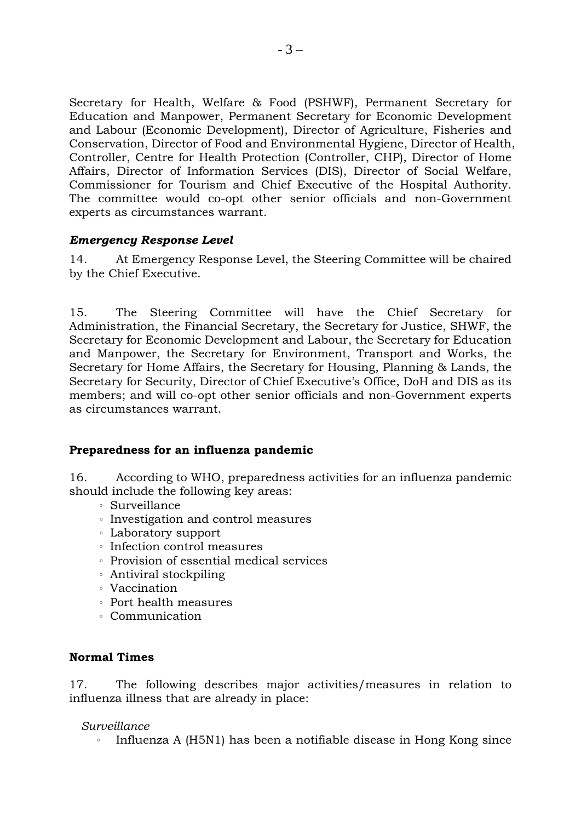Secretary for Health, Welfare & Food (PSHWF), Permanent Secretary for Education and Manpower, Permanent Secretary for Economic Development and Labour (Economic Development), Director of Agriculture, Fisheries and Conservation, Director of Food and Environmental Hygiene, Director of Health, Controller, Centre for Health Protection (Controller, CHP), Director of Home Affairs, Director of Information Services (DIS), Director of Social Welfare, Commissioner for Tourism and Chief Executive of the Hospital Authority. The committee would co-opt other senior officials and non-Government experts as circumstances warrant.

### *Emergency Response Level*

14. At Emergency Response Level, the Steering Committee will be chaired by the Chief Executive.

15. The Steering Committee will have the Chief Secretary for Administration, the Financial Secretary, the Secretary for Justice, SHWF, the Secretary for Economic Development and Labour, the Secretary for Education and Manpower, the Secretary for Environment, Transport and Works, the Secretary for Home Affairs, the Secretary for Housing, Planning & Lands, the Secretary for Security, Director of Chief Executive's Office, DoH and DIS as its members; and will co-opt other senior officials and non-Government experts as circumstances warrant.

#### **Preparedness for an influenza pandemic**

16. According to WHO, preparedness activities for an influenza pandemic should include the following key areas:

- 。 Surveillance
- 。 Investigation and control measures
- 。 Laboratory support
- 。 Infection control measures
- 。 Provision of essential medical services
- 。 Antiviral stockpiling
- 。 Vaccination
- 。 Port health measures
- 。 Communication

### **Normal Times**

17. The following describes major activities/measures in relation to influenza illness that are already in place:

#### *Surveillance*

。 Influenza A (H5N1) has been a notifiable disease in Hong Kong since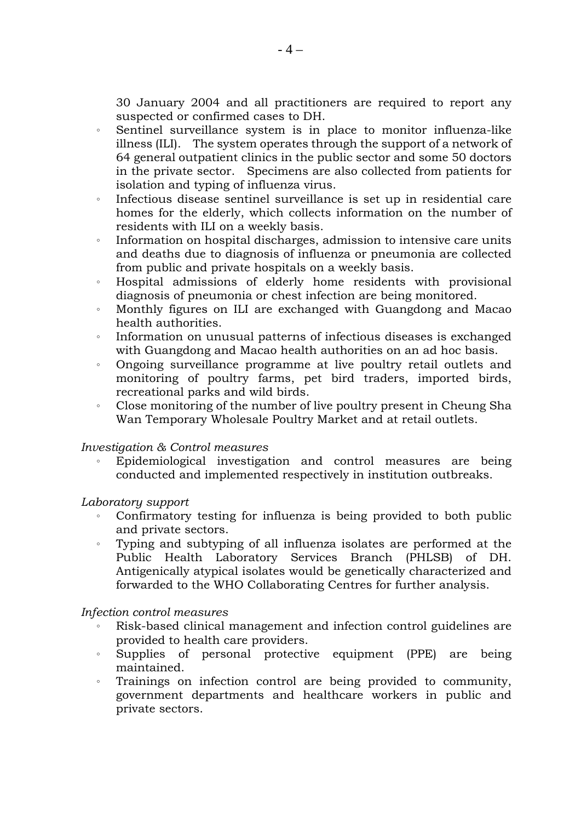30 January 2004 and all practitioners are required to report any suspected or confirmed cases to DH.

- 。 Sentinel surveillance system is in place to monitor influenza-like illness (ILI). The system operates through the support of a network of 64 general outpatient clinics in the public sector and some 50 doctors in the private sector. Specimens are also collected from patients for isolation and typing of influenza virus.
- 。 Infectious disease sentinel surveillance is set up in residential care homes for the elderly, which collects information on the number of residents with ILI on a weekly basis.
- 。 Information on hospital discharges, admission to intensive care units and deaths due to diagnosis of influenza or pneumonia are collected from public and private hospitals on a weekly basis.
- 。 Hospital admissions of elderly home residents with provisional diagnosis of pneumonia or chest infection are being monitored.
- 。 Monthly figures on ILI are exchanged with Guangdong and Macao health authorities.
- Information on unusual patterns of infectious diseases is exchanged with Guangdong and Macao health authorities on an ad hoc basis.
- 。 Ongoing surveillance programme at live poultry retail outlets and monitoring of poultry farms, pet bird traders, imported birds, recreational parks and wild birds.
- 。 Close monitoring of the number of live poultry present in Cheung Sha Wan Temporary Wholesale Poultry Market and at retail outlets.

#### *Investigation & Control measures*

Epidemiological investigation and control measures are being conducted and implemented respectively in institution outbreaks.

#### *Laboratory support*

- Confirmatory testing for influenza is being provided to both public and private sectors.
- 。 Typing and subtyping of all influenza isolates are performed at the Public Health Laboratory Services Branch (PHLSB) of DH. Antigenically atypical isolates would be genetically characterized and forwarded to the WHO Collaborating Centres for further analysis.

#### *Infection control measures*

- Risk-based clinical management and infection control guidelines are provided to health care providers.
- 。 Supplies of personal protective equipment (PPE) are being maintained.
- 。 Trainings on infection control are being provided to community, government departments and healthcare workers in public and private sectors.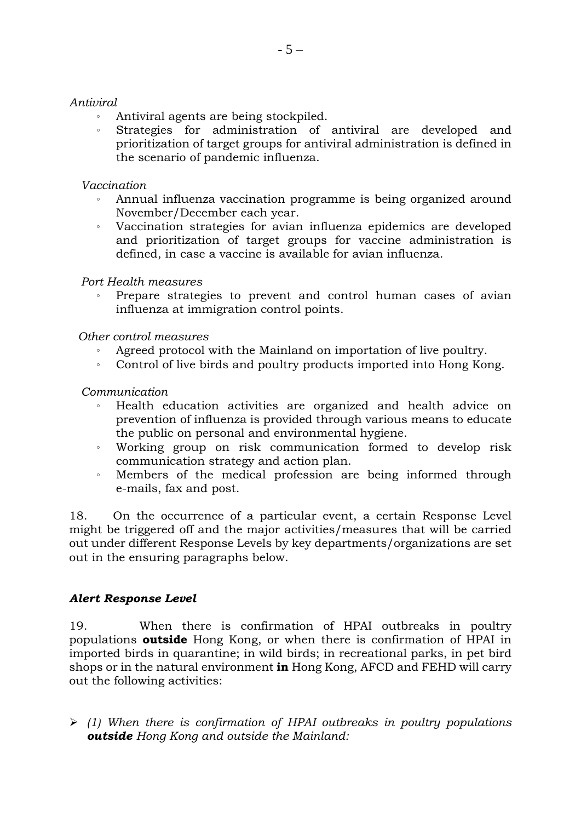#### *Antiviral*

- 。 Antiviral agents are being stockpiled.
- 。 Strategies for administration of antiviral are developed and prioritization of target groups for antiviral administration is defined in the scenario of pandemic influenza.

#### *Vaccination*

- 。 Annual influenza vaccination programme is being organized around November/December each year.
- 。 Vaccination strategies for avian influenza epidemics are developed and prioritization of target groups for vaccine administration is defined, in case a vaccine is available for avian influenza.

#### *Port Health measures*

Prepare strategies to prevent and control human cases of avian influenza at immigration control points.

#### *Other control measures*

- Agreed protocol with the Mainland on importation of live poultry.
- 。 Control of live birds and poultry products imported into Hong Kong.

#### *Communication*

- Health education activities are organized and health advice on prevention of influenza is provided through various means to educate the public on personal and environmental hygiene.
- 。 Working group on risk communication formed to develop risk communication strategy and action plan.
- 。 Members of the medical profession are being informed through e-mails, fax and post.

18. On the occurrence of a particular event, a certain Response Level might be triggered off and the major activities/measures that will be carried out under different Response Levels by key departments/organizations are set out in the ensuring paragraphs below.

#### *Alert Response Level*

19. When there is confirmation of HPAI outbreaks in poultry populations **outside** Hong Kong, or when there is confirmation of HPAI in imported birds in quarantine; in wild birds; in recreational parks, in pet bird shops or in the natural environment **in** Hong Kong, AFCD and FEHD will carry out the following activities:

¾ *(1) When there is confirmation of HPAI outbreaks in poultry populations outside Hong Kong and outside the Mainland:*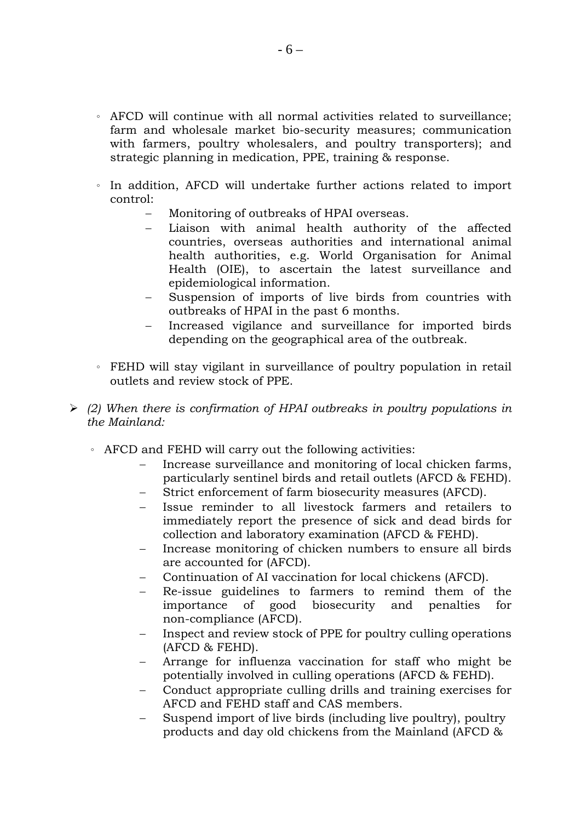- 。 AFCD will continue with all normal activities related to surveillance; farm and wholesale market bio-security measures; communication with farmers, poultry wholesalers, and poultry transporters); and strategic planning in medication, PPE, training & response.
- 。 In addition, AFCD will undertake further actions related to import control:
	- Monitoring of outbreaks of HPAI overseas.
	- Liaison with animal health authority of the affected countries, overseas authorities and international animal health authorities, e.g. World Organisation for Animal Health (OIE), to ascertain the latest surveillance and epidemiological information.
	- Suspension of imports of live birds from countries with outbreaks of HPAI in the past 6 months.
	- Increased vigilance and surveillance for imported birds depending on the geographical area of the outbreak*.*
- 。 FEHD will stay vigilant in surveillance of poultry population in retail outlets and review stock of PPE.
- ¾ *(2) When there is confirmation of HPAI outbreaks in poultry populations in the Mainland:* 
	- 。 AFCD and FEHD will carry out the following activities:
		- Increase surveillance and monitoring of local chicken farms, particularly sentinel birds and retail outlets (AFCD & FEHD).
		- Strict enforcement of farm biosecurity measures (AFCD).
		- Issue reminder to all livestock farmers and retailers to immediately report the presence of sick and dead birds for collection and laboratory examination (AFCD & FEHD).
		- − Increase monitoring of chicken numbers to ensure all birds are accounted for (AFCD).
		- − Continuation of AI vaccination for local chickens (AFCD).
		- Re-issue guidelines to farmers to remind them of the importance of good biosecurity and penalties for non-compliance (AFCD).
		- Inspect and review stock of PPE for poultry culling operations (AFCD & FEHD).
		- Arrange for influenza vaccination for staff who might be potentially involved in culling operations (AFCD & FEHD).
		- − Conduct appropriate culling drills and training exercises for AFCD and FEHD staff and CAS members.
		- Suspend import of live birds (including live poultry), poultry products and day old chickens from the Mainland (AFCD &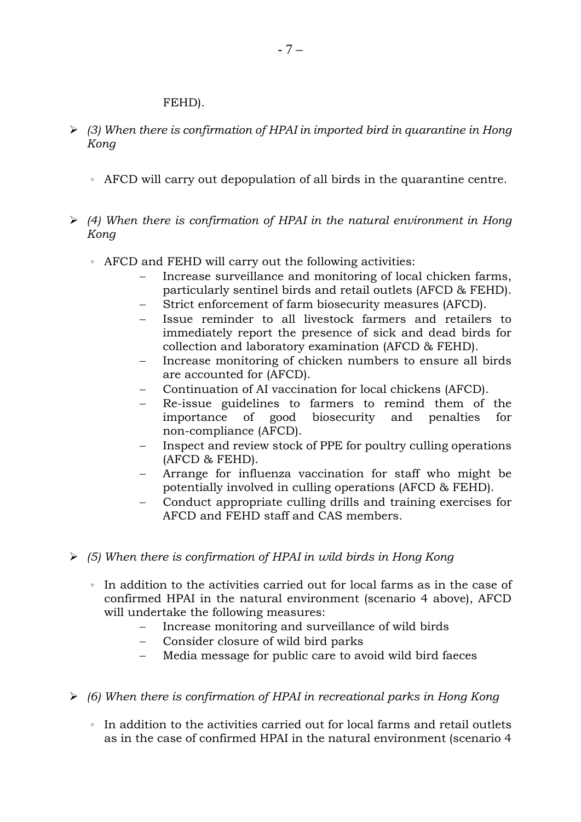#### FEHD).

- ¾ *(3) When there is confirmation of HPAI in imported bird in quarantine in Hong Kong*
	- 。 AFCD will carry out depopulation of all birds in the quarantine centre.
- ¾ *(4) When there is confirmation of HPAI in the natural environment in Hong Kong*
	- 。 AFCD and FEHD will carry out the following activities:
		- Increase surveillance and monitoring of local chicken farms, particularly sentinel birds and retail outlets (AFCD & FEHD).
		- Strict enforcement of farm biosecurity measures (AFCD).
		- Issue reminder to all livestock farmers and retailers to immediately report the presence of sick and dead birds for collection and laboratory examination (AFCD & FEHD).
		- Increase monitoring of chicken numbers to ensure all birds are accounted for (AFCD).
		- − Continuation of AI vaccination for local chickens (AFCD).
		- Re-issue guidelines to farmers to remind them of the importance of good biosecurity and penalties for non-compliance (AFCD).
		- Inspect and review stock of PPE for poultry culling operations (AFCD & FEHD).
		- − Arrange for influenza vaccination for staff who might be potentially involved in culling operations (AFCD & FEHD).
		- − Conduct appropriate culling drills and training exercises for AFCD and FEHD staff and CAS members.
- ¾ *(5) When there is confirmation of HPAI in wild birds in Hong Kong*
	- 。 In addition to the activities carried out for local farms as in the case of confirmed HPAI in the natural environment (scenario 4 above), AFCD will undertake the following measures:
		- − Increase monitoring and surveillance of wild birds
		- − Consider closure of wild bird parks
		- Media message for public care to avoid wild bird faeces
- ¾ *(6) When there is confirmation of HPAI in recreational parks in Hong Kong*
	- 。 In addition to the activities carried out for local farms and retail outlets as in the case of confirmed HPAI in the natural environment (scenario 4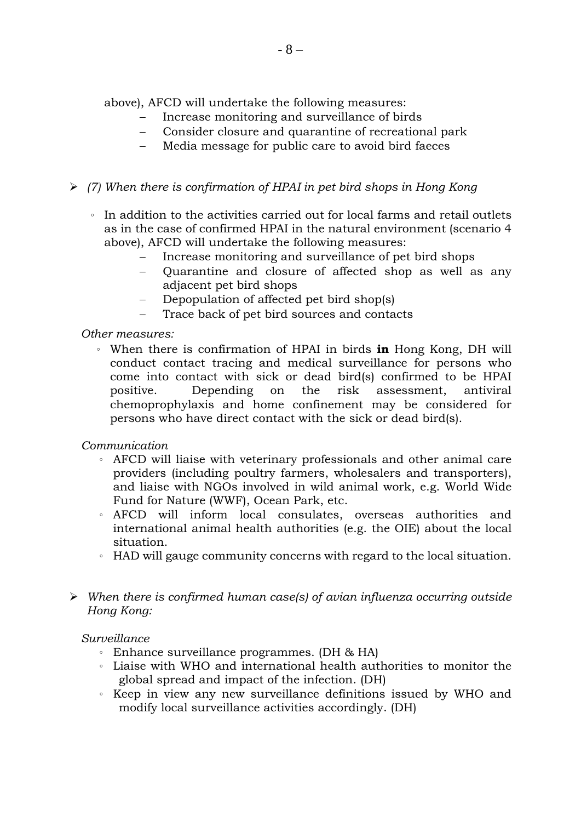above), AFCD will undertake the following measures:

- Increase monitoring and surveillance of birds
- Consider closure and quarantine of recreational park
- Media message for public care to avoid bird faeces

### ¾ *(7) When there is confirmation of HPAI in pet bird shops in Hong Kong*

- 。 In addition to the activities carried out for local farms and retail outlets as in the case of confirmed HPAI in the natural environment (scenario 4 above), AFCD will undertake the following measures:
	- Increase monitoring and surveillance of pet bird shops
	- − Quarantine and closure of affected shop as well as any adjacent pet bird shops
	- Depopulation of affected pet bird shop(s)
	- Trace back of pet bird sources and contacts

*Other measures:* 

。 When there is confirmation of HPAI in birds **in** Hong Kong, DH will conduct contact tracing and medical surveillance for persons who come into contact with sick or dead bird(s) confirmed to be HPAI positive. Depending on the risk assessment, antiviral chemoprophylaxis and home confinement may be considered for persons who have direct contact with the sick or dead bird(s).

*Communication* 

- 。 AFCD will liaise with veterinary professionals and other animal care providers (including poultry farmers, wholesalers and transporters), and liaise with NGOs involved in wild animal work, e.g. World Wide Fund for Nature (WWF), Ocean Park, etc.
- 。 AFCD will inform local consulates, overseas authorities and international animal health authorities (e.g. the OIE) about the local situation.
- 。 HAD will gauge community concerns with regard to the local situation.
- ¾ *When there is confirmed human case(s) of avian influenza occurring outside Hong Kong:*

*Surveillance* 

- 。 Enhance surveillance programmes. (DH & HA)
- 。 Liaise with WHO and international health authorities to monitor the global spread and impact of the infection. (DH)
- 。 Keep in view any new surveillance definitions issued by WHO and modify local surveillance activities accordingly. (DH)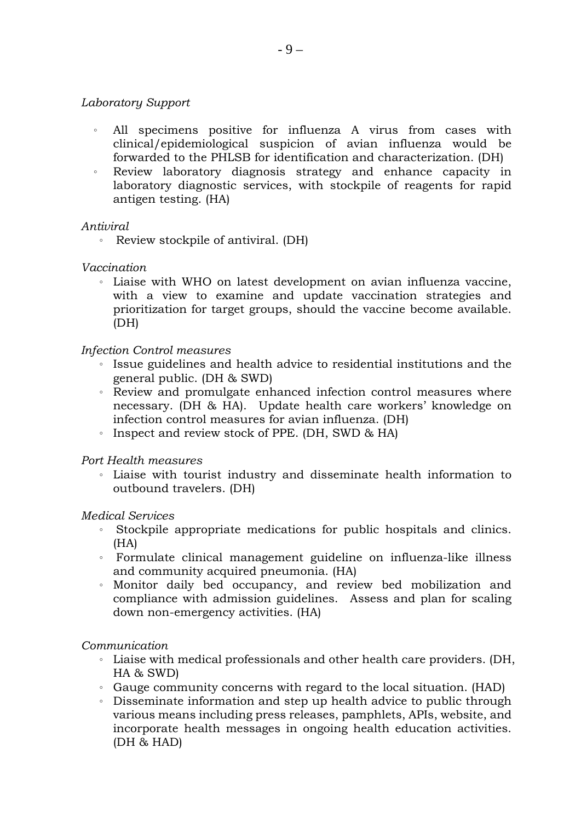#### *Laboratory Support*

- All specimens positive for influenza A virus from cases with clinical/epidemiological suspicion of avian influenza would be forwarded to the PHLSB for identification and characterization. (DH)
- 。 Review laboratory diagnosis strategy and enhance capacity in laboratory diagnostic services, with stockpile of reagents for rapid antigen testing. (HA)

#### *Antiviral*

。 Review stockpile of antiviral. (DH)

#### *Vaccination*

。 Liaise with WHO on latest development on avian influenza vaccine, with a view to examine and update vaccination strategies and prioritization for target groups, should the vaccine become available. (DH)

#### *Infection Control measures*

- 。 Issue guidelines and health advice to residential institutions and the general public. (DH & SWD)
- 。 Review and promulgate enhanced infection control measures where necessary. (DH & HA). Update health care workers' knowledge on infection control measures for avian influenza. (DH)
- 。 Inspect and review stock of PPE. (DH, SWD & HA)

*Port Health measures* 

。 Liaise with tourist industry and disseminate health information to outbound travelers. (DH)

#### *Medical Services*

- 。 Stockpile appropriate medications for public hospitals and clinics. (HA)
- 。 Formulate clinical management guideline on influenza-like illness and community acquired pneumonia. (HA)
- 。 Monitor daily bed occupancy, and review bed mobilization and compliance with admission guidelines. Assess and plan for scaling down non-emergency activities. (HA)

#### *Communication*

- 。 Liaise with medical professionals and other health care providers. (DH, HA & SWD)
- 。 Gauge community concerns with regard to the local situation. (HAD)
- 。 Disseminate information and step up health advice to public through various means including press releases, pamphlets, APIs, website, and incorporate health messages in ongoing health education activities. (DH & HAD)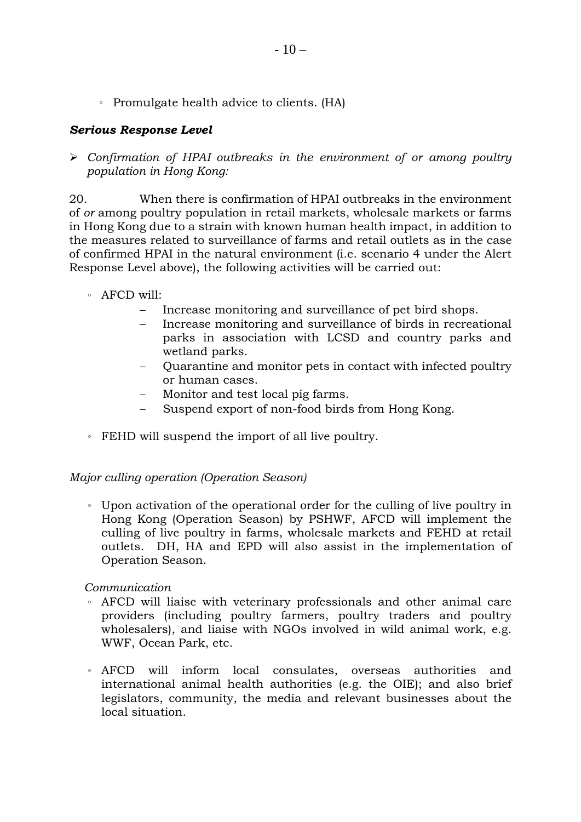。 Promulgate health advice to clients. (HA)

### *Serious Response Level*

¾ *Confirmation of HPAI outbreaks in the environment of or among poultry population in Hong Kong:* 

20. When there is confirmation of HPAI outbreaks in the environment of *or* among poultry population in retail markets, wholesale markets or farms in Hong Kong due to a strain with known human health impact, in addition to the measures related to surveillance of farms and retail outlets as in the case of confirmed HPAI in the natural environment (i.e. scenario 4 under the Alert Response Level above), the following activities will be carried out:

- 。 AFCD will:
	- − Increase monitoring and surveillance of pet bird shops.
	- Increase monitoring and surveillance of birds in recreational parks in association with LCSD and country parks and wetland parks.
	- Quarantine and monitor pets in contact with infected poultry or human cases.
	- Monitor and test local pig farms.
	- − Suspend export of non-food birds from Hong Kong.
- 。 FEHD will suspend the import of all live poultry.

#### *Major culling operation (Operation Season)*

。 Upon activation of the operational order for the culling of live poultry in Hong Kong (Operation Season) by PSHWF, AFCD will implement the culling of live poultry in farms, wholesale markets and FEHD at retail outlets. DH, HA and EPD will also assist in the implementation of Operation Season.

#### *Communication*

- 。 AFCD will liaise with veterinary professionals and other animal care providers (including poultry farmers, poultry traders and poultry wholesalers), and liaise with NGOs involved in wild animal work, e.g. WWF, Ocean Park, etc.
- 。 AFCD will inform local consulates, overseas authorities and international animal health authorities (e.g. the OIE); and also brief legislators, community, the media and relevant businesses about the local situation.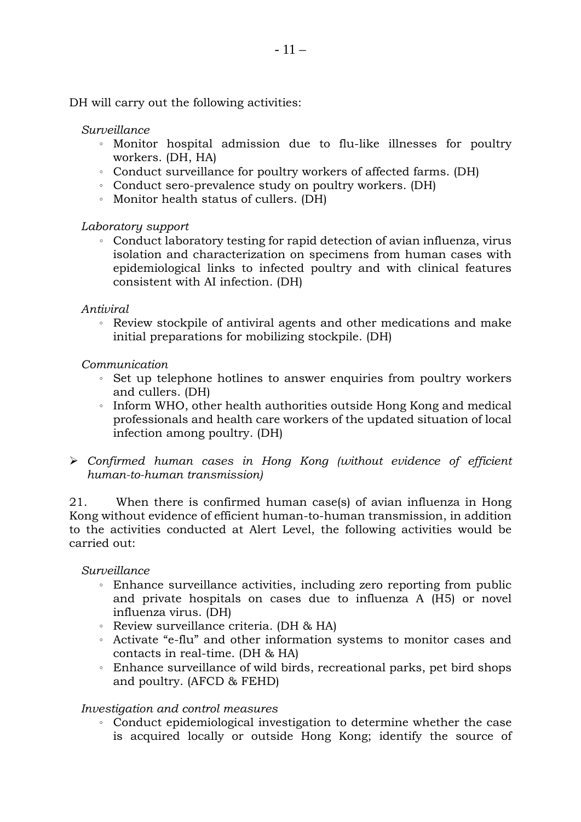DH will carry out the following activities:

#### *Surveillance*

- 。 Monitor hospital admission due to flu-like illnesses for poultry workers. (DH, HA)
- 。 Conduct surveillance for poultry workers of affected farms. (DH)
- 。 Conduct sero-prevalence study on poultry workers. (DH)
- 。 Monitor health status of cullers. (DH)

#### *Laboratory support*

。 Conduct laboratory testing for rapid detection of avian influenza, virus isolation and characterization on specimens from human cases with epidemiological links to infected poultry and with clinical features consistent with AI infection. (DH)

#### *Antiviral*

。 Review stockpile of antiviral agents and other medications and make initial preparations for mobilizing stockpile. (DH)

#### *Communication*

- 。 Set up telephone hotlines to answer enquiries from poultry workers and cullers. (DH)
- 。 Inform WHO, other health authorities outside Hong Kong and medical professionals and health care workers of the updated situation of local infection among poultry. (DH)
- ¾ *Confirmed human cases in Hong Kong (without evidence of efficient human-to-human transmission)*

21. When there is confirmed human case(s) of avian influenza in Hong Kong without evidence of efficient human-to-human transmission, in addition to the activities conducted at Alert Level, the following activities would be carried out:

#### *Surveillance*

- 。 Enhance surveillance activities, including zero reporting from public and private hospitals on cases due to influenza A (H5) or novel influenza virus. (DH)
- 。 Review surveillance criteria. (DH & HA)
- 。 Activate "e-flu" and other information systems to monitor cases and contacts in real-time. (DH & HA)
- 。 Enhance surveillance of wild birds, recreational parks, pet bird shops and poultry. (AFCD & FEHD)

#### *Investigation and control measures*

。 Conduct epidemiological investigation to determine whether the case is acquired locally or outside Hong Kong; identify the source of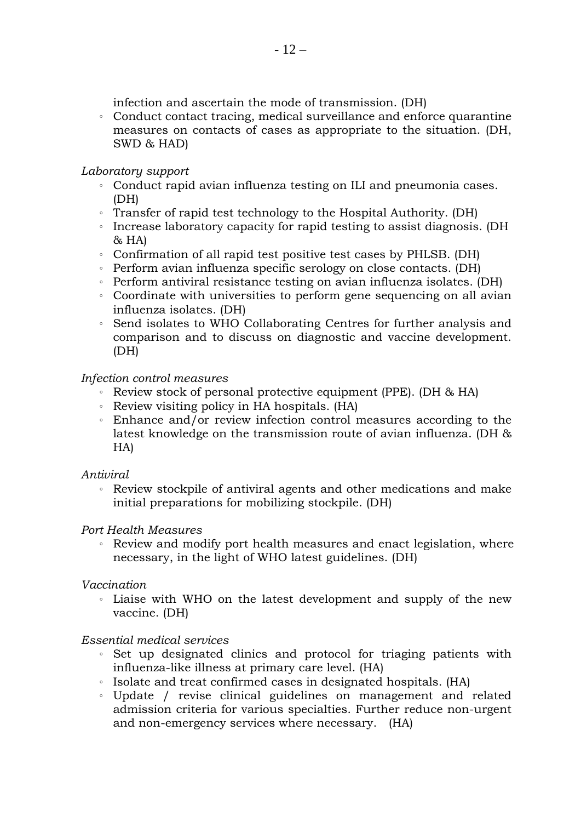infection and ascertain the mode of transmission. (DH)

。 Conduct contact tracing, medical surveillance and enforce quarantine measures on contacts of cases as appropriate to the situation. (DH, SWD & HAD)

#### *Laboratory support*

- 。 Conduct rapid avian influenza testing on ILI and pneumonia cases. (DH)
- 。 Transfer of rapid test technology to the Hospital Authority. (DH)
- 。 Increase laboratory capacity for rapid testing to assist diagnosis. (DH  $&$  HA)
- 。 Confirmation of all rapid test positive test cases by PHLSB. (DH)
- 。 Perform avian influenza specific serology on close contacts. (DH)
- 。 Perform antiviral resistance testing on avian influenza isolates. (DH)
- 。 Coordinate with universities to perform gene sequencing on all avian influenza isolates. (DH)
- 。 Send isolates to WHO Collaborating Centres for further analysis and comparison and to discuss on diagnostic and vaccine development. (DH)

### *Infection control measures*

- 。 Review stock of personal protective equipment (PPE). (DH & HA)
- 。 Review visiting policy in HA hospitals. (HA)
- 。 Enhance and/or review infection control measures according to the latest knowledge on the transmission route of avian influenza. (DH & HA)

### *Antiviral*

。 Review stockpile of antiviral agents and other medications and make initial preparations for mobilizing stockpile. (DH)

### *Port Health Measures*

。 Review and modify port health measures and enact legislation, where necessary, in the light of WHO latest guidelines. (DH)

### *Vaccination*

。 Liaise with WHO on the latest development and supply of the new vaccine. (DH)

### *Essential medical services*

- 。 Set up designated clinics and protocol for triaging patients with influenza-like illness at primary care level. (HA)
- 。 Isolate and treat confirmed cases in designated hospitals. (HA)
- 。 Update / revise clinical guidelines on management and related admission criteria for various specialties. Further reduce non-urgent and non-emergency services where necessary. (HA)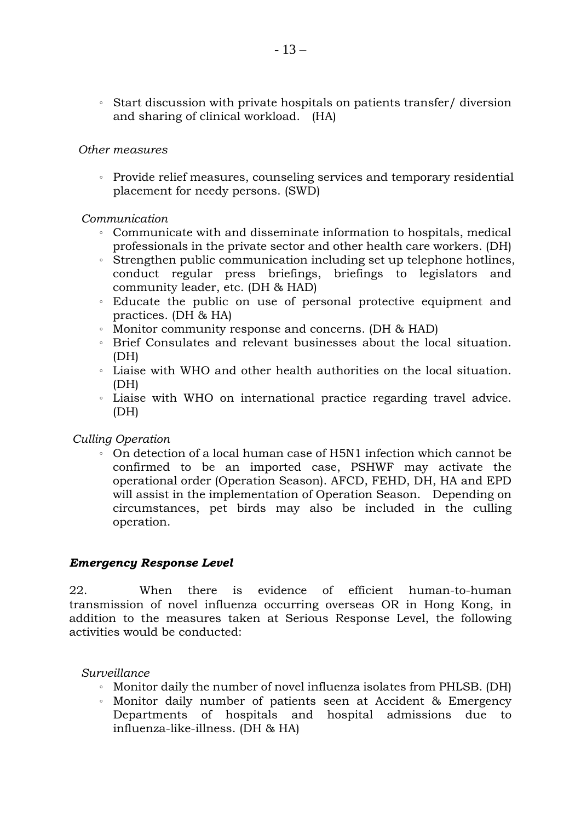。 Start discussion with private hospitals on patients transfer/ diversion and sharing of clinical workload. (HA)

#### *Other measures*

。 Provide relief measures, counseling services and temporary residential placement for needy persons. (SWD)

#### *Communication*

- 。 Communicate with and disseminate information to hospitals, medical professionals in the private sector and other health care workers. (DH)
- 。 Strengthen public communication including set up telephone hotlines, conduct regular press briefings, briefings to legislators and community leader, etc. (DH & HAD)
- 。 Educate the public on use of personal protective equipment and practices. (DH & HA)
- 。 Monitor community response and concerns. (DH & HAD)
- 。 Brief Consulates and relevant businesses about the local situation. (DH)
- 。 Liaise with WHO and other health authorities on the local situation. (DH)
- 。 Liaise with WHO on international practice regarding travel advice. (DH)

#### *Culling Operation*

。 On detection of a local human case of H5N1 infection which cannot be confirmed to be an imported case, PSHWF may activate the operational order (Operation Season). AFCD, FEHD, DH, HA and EPD will assist in the implementation of Operation Season. Depending on circumstances, pet birds may also be included in the culling operation.

#### *Emergency Response Level*

22. When there is evidence of efficient human-to-human transmission of novel influenza occurring overseas OR in Hong Kong, in addition to the measures taken at Serious Response Level, the following activities would be conducted:

#### *Surveillance*

- 。 Monitor daily the number of novel influenza isolates from PHLSB. (DH)
- 。 Monitor daily number of patients seen at Accident & Emergency Departments of hospitals and hospital admissions due to influenza-like-illness. (DH & HA)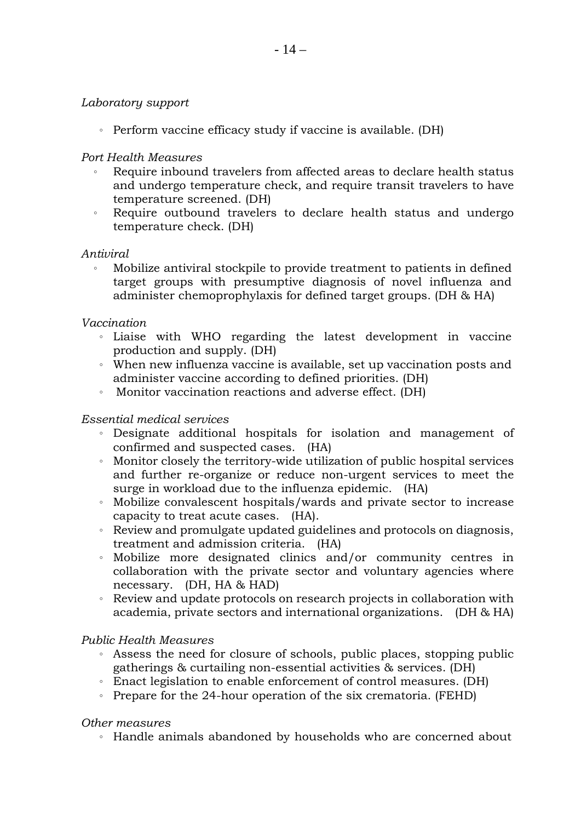#### *Laboratory support*

。 Perform vaccine efficacy study if vaccine is available. (DH)

#### *Port Health Measures*

- Require inbound travelers from affected areas to declare health status and undergo temperature check, and require transit travelers to have temperature screened. (DH)
- 。 Require outbound travelers to declare health status and undergo temperature check. (DH)

#### *Antiviral*

。 Mobilize antiviral stockpile to provide treatment to patients in defined target groups with presumptive diagnosis of novel influenza and administer chemoprophylaxis for defined target groups. (DH & HA)

#### *Vaccination*

- 。 Liaise with WHO regarding the latest development in vaccine production and supply. (DH)
- 。 When new influenza vaccine is available, set up vaccination posts and administer vaccine according to defined priorities. (DH)
- 。 Monitor vaccination reactions and adverse effect. (DH)

#### *Essential medical services*

- 。 Designate additional hospitals for isolation and management of confirmed and suspected cases. (HA)
- 。 Monitor closely the territory-wide utilization of public hospital services and further re-organize or reduce non-urgent services to meet the surge in workload due to the influenza epidemic. (HA)
- 。 Mobilize convalescent hospitals/wards and private sector to increase capacity to treat acute cases. (HA).
- 。 Review and promulgate updated guidelines and protocols on diagnosis, treatment and admission criteria. (HA)
- 。 Mobilize more designated clinics and/or community centres in collaboration with the private sector and voluntary agencies where necessary. (DH, HA & HAD)
- 。 Review and update protocols on research projects in collaboration with academia, private sectors and international organizations. (DH & HA)

#### *Public Health Measures*

- 。 Assess the need for closure of schools, public places, stopping public gatherings & curtailing non-essential activities & services. (DH)
- 。 Enact legislation to enable enforcement of control measures. (DH)
- 。 Prepare for the 24-hour operation of the six crematoria. (FEHD)

#### *Other measures*

。 Handle animals abandoned by households who are concerned about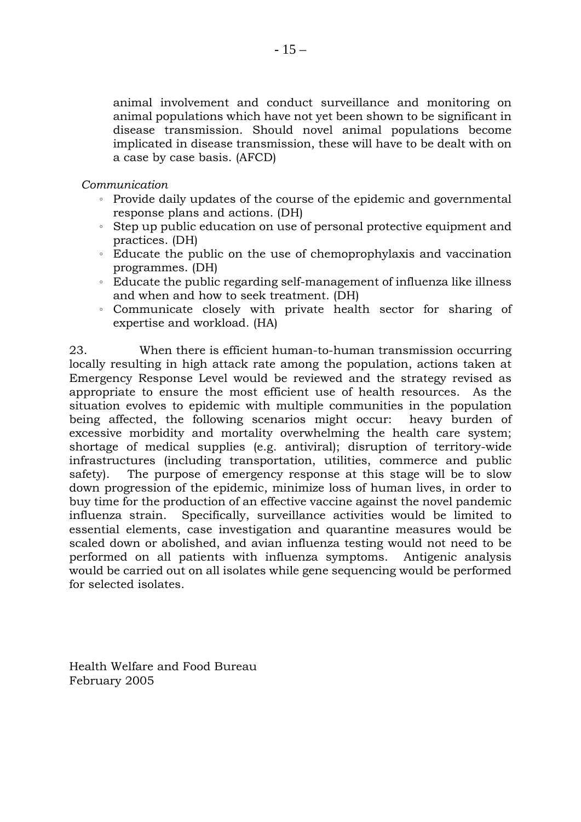animal involvement and conduct surveillance and monitoring on animal populations which have not yet been shown to be significant in disease transmission. Should novel animal populations become implicated in disease transmission, these will have to be dealt with on a case by case basis. (AFCD)

*Communication*

- 。 Provide daily updates of the course of the epidemic and governmental response plans and actions. (DH)
- 。 Step up public education on use of personal protective equipment and practices. (DH)
- 。 Educate the public on the use of chemoprophylaxis and vaccination programmes. (DH)
- 。 Educate the public regarding self-management of influenza like illness and when and how to seek treatment. (DH)
- 。 Communicate closely with private health sector for sharing of expertise and workload. (HA)

23. When there is efficient human-to-human transmission occurring locally resulting in high attack rate among the population, actions taken at Emergency Response Level would be reviewed and the strategy revised as appropriate to ensure the most efficient use of health resources. As the situation evolves to epidemic with multiple communities in the population being affected, the following scenarios might occur: heavy burden of excessive morbidity and mortality overwhelming the health care system; shortage of medical supplies (e.g. antiviral); disruption of territory-wide infrastructures (including transportation, utilities, commerce and public safety). The purpose of emergency response at this stage will be to slow down progression of the epidemic, minimize loss of human lives, in order to buy time for the production of an effective vaccine against the novel pandemic influenza strain. Specifically, surveillance activities would be limited to essential elements, case investigation and quarantine measures would be scaled down or abolished, and avian influenza testing would not need to be performed on all patients with influenza symptoms. Antigenic analysis would be carried out on all isolates while gene sequencing would be performed for selected isolates.

Health Welfare and Food Bureau February 2005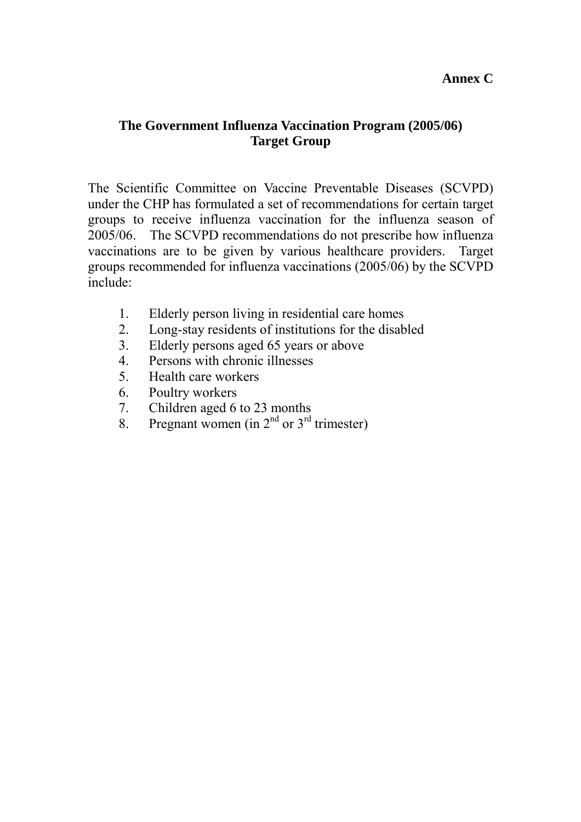### **Annex C**

### **The Government Influenza Vaccination Program (2005/06) Target Group**

The Scientific Committee on Vaccine Preventable Diseases (SCVPD) under the CHP has formulated a set of recommendations for certain target groups to receive influenza vaccination for the influenza season of 2005/06. The SCVPD recommendations do not prescribe how influenza vaccinations are to be given by various healthcare providers. Target groups recommended for influenza vaccinations (2005/06) by the SCVPD include:

- 1. Elderly person living in residential care homes
- 2. Long-stay residents of institutions for the disabled
- 3. Elderly persons aged 65 years or above
- 4. Persons with chronic illnesses
- 5. Health care workers
- 6. Poultry workers
- 7. Children aged 6 to 23 months
- 8. Pregnant women (in  $2<sup>nd</sup>$  or  $3<sup>rd</sup>$  trimester)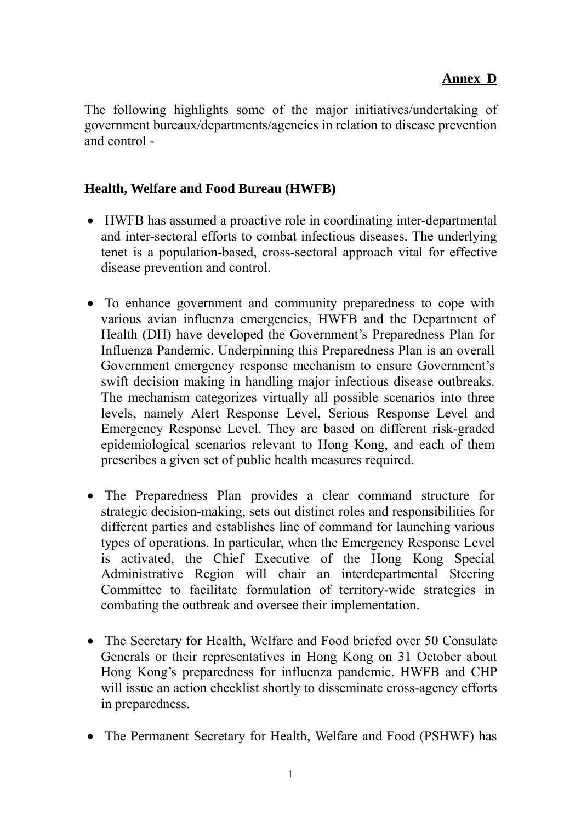# **Annex D**

The following highlights some of the major initiatives/undertaking of government bureaux/departments/agencies in relation to disease prevention and control -

### **Health, Welfare and Food Bureau (HWFB)**

- HWFB has assumed a proactive role in coordinating inter-departmental and inter-sectoral efforts to combat infectious diseases. The underlying tenet is a population-based, cross-sectoral approach vital for effective disease prevention and control.
- To enhance government and community preparedness to cope with various avian influenza emergencies, HWFB and the Department of Health (DH) have developed the Government's Preparedness Plan for Influenza Pandemic. Underpinning this Preparedness Plan is an overall Government emergency response mechanism to ensure Government's swift decision making in handling major infectious disease outbreaks. The mechanism categorizes virtually all possible scenarios into three levels, namely Alert Response Level, Serious Response Level and Emergency Response Level. They are based on different risk-graded epidemiological scenarios relevant to Hong Kong, and each of them prescribes a given set of public health measures required.
- The Preparedness Plan provides a clear command structure for strategic decision-making, sets out distinct roles and responsibilities for different parties and establishes line of command for launching various types of operations. In particular, when the Emergency Response Level is activated, the Chief Executive of the Hong Kong Special Administrative Region will chair an interdepartmental Steering Committee to facilitate formulation of territory-wide strategies in combating the outbreak and oversee their implementation.
- The Secretary for Health, Welfare and Food briefed over 50 Consulate Generals or their representatives in Hong Kong on 31 October about Hong Kong's preparedness for influenza pandemic. HWFB and CHP will issue an action checklist shortly to disseminate cross-agency efforts in preparedness.
- The Permanent Secretary for Health, Welfare and Food (PSHWF) has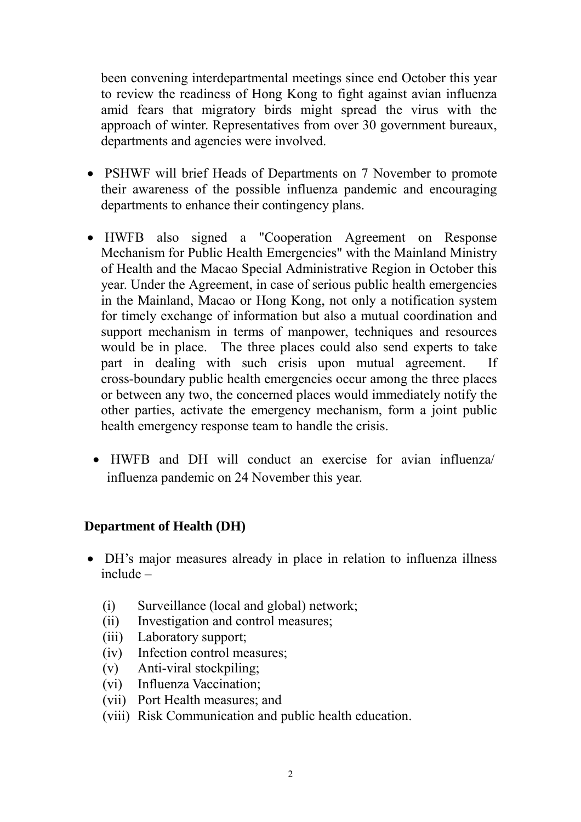been convening interdepartmental meetings since end October this year to review the readiness of Hong Kong to fight against avian influenza amid fears that migratory birds might spread the virus with the approach of winter. Representatives from over 30 government bureaux, departments and agencies were involved.

- PSHWF will brief Heads of Departments on 7 November to promote their awareness of the possible influenza pandemic and encouraging departments to enhance their contingency plans.
- HWFB also signed a "Cooperation Agreement on Response Mechanism for Public Health Emergencies" with the Mainland Ministry of Health and the Macao Special Administrative Region in October this year. Under the Agreement, in case of serious public health emergencies in the Mainland, Macao or Hong Kong, not only a notification system for timely exchange of information but also a mutual coordination and support mechanism in terms of manpower, techniques and resources would be in place. The three places could also send experts to take part in dealing with such crisis upon mutual agreement. If cross-boundary public health emergencies occur among the three places or between any two, the concerned places would immediately notify the other parties, activate the emergency mechanism, form a joint public health emergency response team to handle the crisis.
	- HWFB and DH will conduct an exercise for avian influenza/ influenza pandemic on 24 November this year.

# **Department of Health (DH)**

- DH's major measures already in place in relation to influenza illness include –
	- (i) Surveillance (local and global) network;
	- (ii) Investigation and control measures;
	- (iii) Laboratory support;
	- (iv) Infection control measures;
	- (v) Anti-viral stockpiling;
	- (vi) Influenza Vaccination;
	- (vii) Port Health measures; and
	- (viii) Risk Communication and public health education.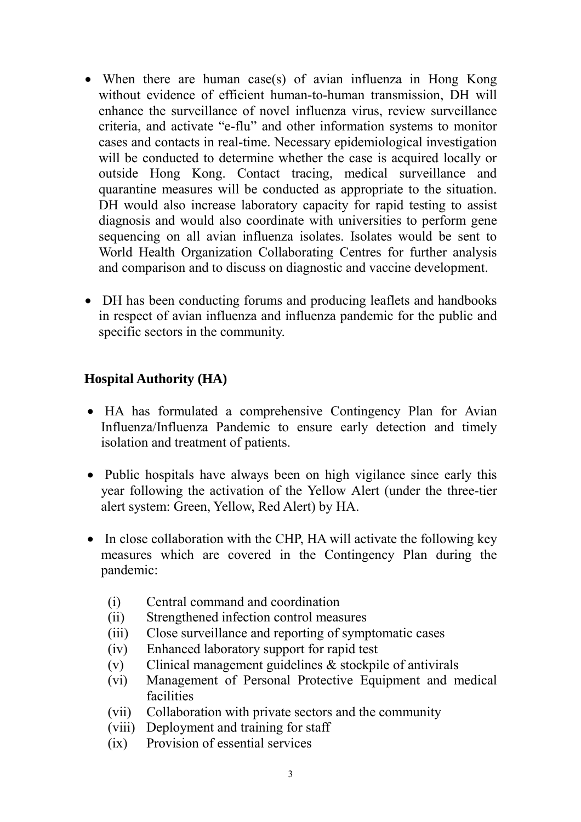- When there are human case(s) of avian influenza in Hong Kong without evidence of efficient human-to-human transmission, DH will enhance the surveillance of novel influenza virus, review surveillance criteria, and activate "e-flu" and other information systems to monitor cases and contacts in real-time. Necessary epidemiological investigation will be conducted to determine whether the case is acquired locally or outside Hong Kong. Contact tracing, medical surveillance and quarantine measures will be conducted as appropriate to the situation. DH would also increase laboratory capacity for rapid testing to assist diagnosis and would also coordinate with universities to perform gene sequencing on all avian influenza isolates. Isolates would be sent to World Health Organization Collaborating Centres for further analysis and comparison and to discuss on diagnostic and vaccine development.
- DH has been conducting forums and producing leaflets and handbooks in respect of avian influenza and influenza pandemic for the public and specific sectors in the community.

# **Hospital Authority (HA)**

- HA has formulated a comprehensive Contingency Plan for Avian Influenza/Influenza Pandemic to ensure early detection and timely isolation and treatment of patients.
- Public hospitals have always been on high vigilance since early this year following the activation of the Yellow Alert (under the three-tier alert system: Green, Yellow, Red Alert) by HA.
- In close collaboration with the CHP, HA will activate the following key measures which are covered in the Contingency Plan during the pandemic:
	- (i) Central command and coordination
	- (ii) Strengthened infection control measures
	- (iii) Close surveillance and reporting of symptomatic cases
	- (iv) Enhanced laboratory support for rapid test
	- (v) Clinical management guidelines & stockpile of antivirals
	- (vi) Management of Personal Protective Equipment and medical facilities
	- (vii) Collaboration with private sectors and the community
	- (viii) Deployment and training for staff
	- (ix) Provision of essential services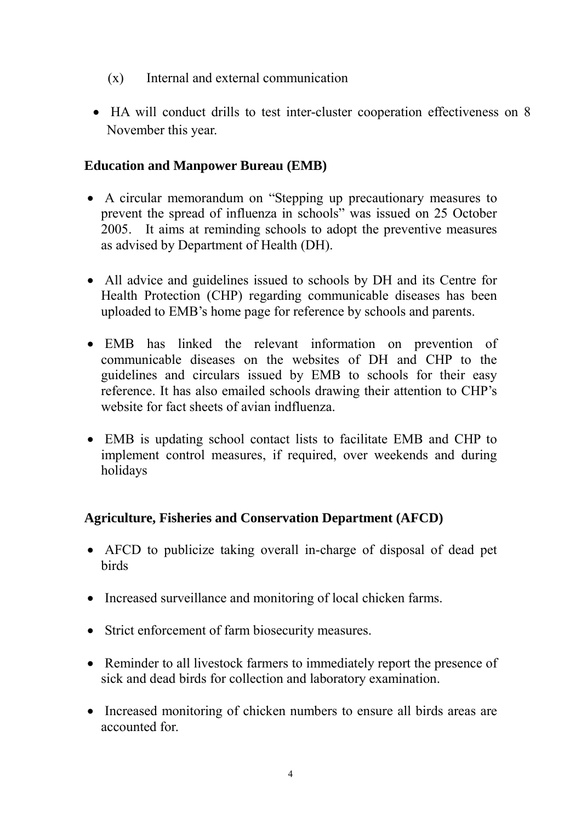- (x) Internal and external communication
- HA will conduct drills to test inter-cluster cooperation effectiveness on 8 November this year.

### **Education and Manpower Bureau (EMB)**

- A circular memorandum on "Stepping up precautionary measures to prevent the spread of influenza in schools" was issued on 25 October 2005. It aims at reminding schools to adopt the preventive measures as advised by Department of Health (DH).
- All advice and guidelines issued to schools by DH and its Centre for Health Protection (CHP) regarding communicable diseases has been uploaded to EMB's home page for reference by schools and parents.
- EMB has linked the relevant information on prevention of communicable diseases on the websites of DH and CHP to the guidelines and circulars issued by EMB to schools for their easy reference. It has also emailed schools drawing their attention to CHP's website for fact sheets of avian indfluenza.
- EMB is updating school contact lists to facilitate EMB and CHP to implement control measures, if required, over weekends and during holidays

# **Agriculture, Fisheries and Conservation Department (AFCD)**

- AFCD to publicize taking overall in-charge of disposal of dead pet birds
- Increased surveillance and monitoring of local chicken farms.
- Strict enforcement of farm biosecurity measures.
- Reminder to all livestock farmers to immediately report the presence of sick and dead birds for collection and laboratory examination.
- Increased monitoring of chicken numbers to ensure all birds areas are accounted for.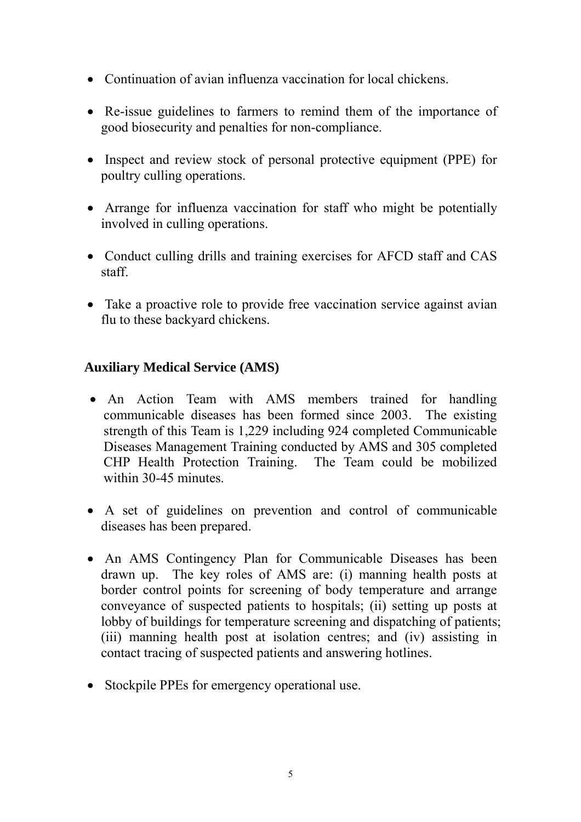- Continuation of avian influenza vaccination for local chickens.
- Re-issue guidelines to farmers to remind them of the importance of good biosecurity and penalties for non-compliance.
- Inspect and review stock of personal protective equipment (PPE) for poultry culling operations.
- Arrange for influenza vaccination for staff who might be potentially involved in culling operations.
- Conduct culling drills and training exercises for AFCD staff and CAS staff.
- Take a proactive role to provide free vaccination service against avian flu to these backyard chickens.

# **Auxiliary Medical Service (AMS)**

- An Action Team with AMS members trained for handling communicable diseases has been formed since 2003. The existing strength of this Team is 1,229 including 924 completed Communicable Diseases Management Training conducted by AMS and 305 completed CHP Health Protection Training. The Team could be mobilized within 30-45 minutes.
- A set of guidelines on prevention and control of communicable diseases has been prepared.
- An AMS Contingency Plan for Communicable Diseases has been drawn up. The key roles of AMS are: (i) manning health posts at border control points for screening of body temperature and arrange conveyance of suspected patients to hospitals; (ii) setting up posts at lobby of buildings for temperature screening and dispatching of patients; (iii) manning health post at isolation centres; and (iv) assisting in contact tracing of suspected patients and answering hotlines.
- Stockpile PPEs for emergency operational use.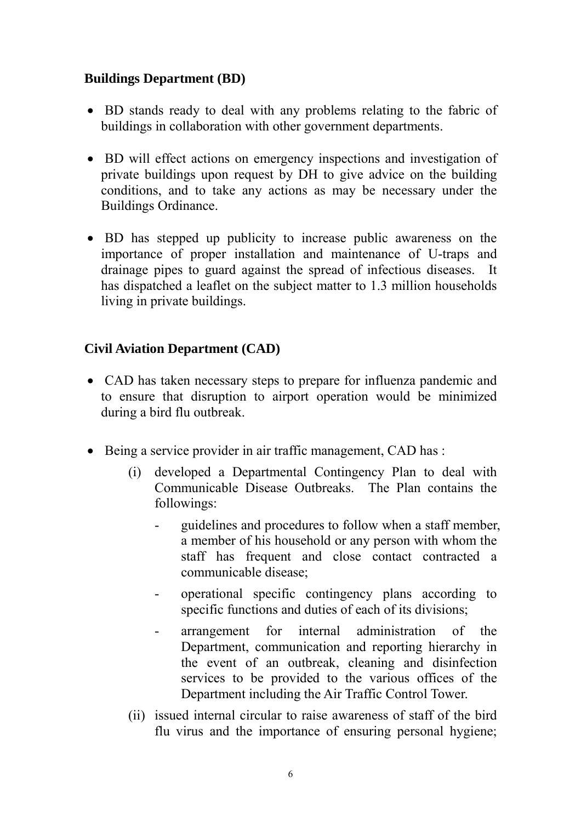# **Buildings Department (BD)**

- BD stands ready to deal with any problems relating to the fabric of buildings in collaboration with other government departments.
- BD will effect actions on emergency inspections and investigation of private buildings upon request by DH to give advice on the building conditions, and to take any actions as may be necessary under the Buildings Ordinance.
- BD has stepped up publicity to increase public awareness on the importance of proper installation and maintenance of U-traps and drainage pipes to guard against the spread of infectious diseases. It has dispatched a leaflet on the subject matter to 1.3 million households living in private buildings.

# **Civil Aviation Department (CAD)**

- CAD has taken necessary steps to prepare for influenza pandemic and to ensure that disruption to airport operation would be minimized during a bird flu outbreak.
- Being a service provider in air traffic management, CAD has :
	- (i) developed a Departmental Contingency Plan to deal with Communicable Disease Outbreaks. The Plan contains the followings:
		- guidelines and procedures to follow when a staff member, a member of his household or any person with whom the staff has frequent and close contact contracted a communicable disease;
		- operational specific contingency plans according to specific functions and duties of each of its divisions;
		- arrangement for internal administration of the Department, communication and reporting hierarchy in the event of an outbreak, cleaning and disinfection services to be provided to the various offices of the Department including the Air Traffic Control Tower.
	- (ii) issued internal circular to raise awareness of staff of the bird flu virus and the importance of ensuring personal hygiene;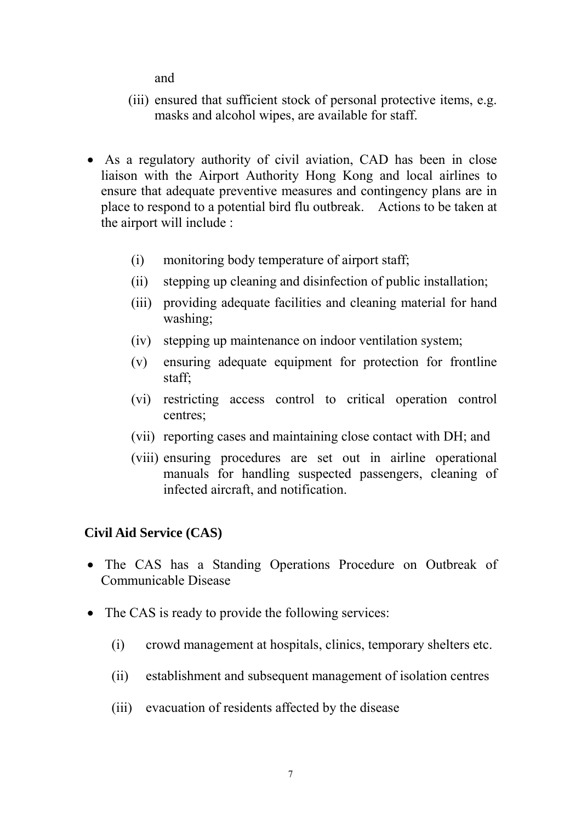and

- (iii) ensured that sufficient stock of personal protective items, e.g. masks and alcohol wipes, are available for staff.
- As a regulatory authority of civil aviation, CAD has been in close liaison with the Airport Authority Hong Kong and local airlines to ensure that adequate preventive measures and contingency plans are in place to respond to a potential bird flu outbreak. Actions to be taken at the airport will include :
	- (i) monitoring body temperature of airport staff;
	- (ii) stepping up cleaning and disinfection of public installation;
	- (iii) providing adequate facilities and cleaning material for hand washing;
	- (iv) stepping up maintenance on indoor ventilation system;
	- (v) ensuring adequate equipment for protection for frontline staff;
	- (vi) restricting access control to critical operation control centres;
	- (vii) reporting cases and maintaining close contact with DH; and
	- (viii) ensuring procedures are set out in airline operational manuals for handling suspected passengers, cleaning of infected aircraft, and notification.

# **Civil Aid Service (CAS)**

- The CAS has a Standing Operations Procedure on Outbreak of Communicable Disease
- The CAS is ready to provide the following services:
	- (i) crowd management at hospitals, clinics, temporary shelters etc.
	- (ii) establishment and subsequent management of isolation centres
	- (iii) evacuation of residents affected by the disease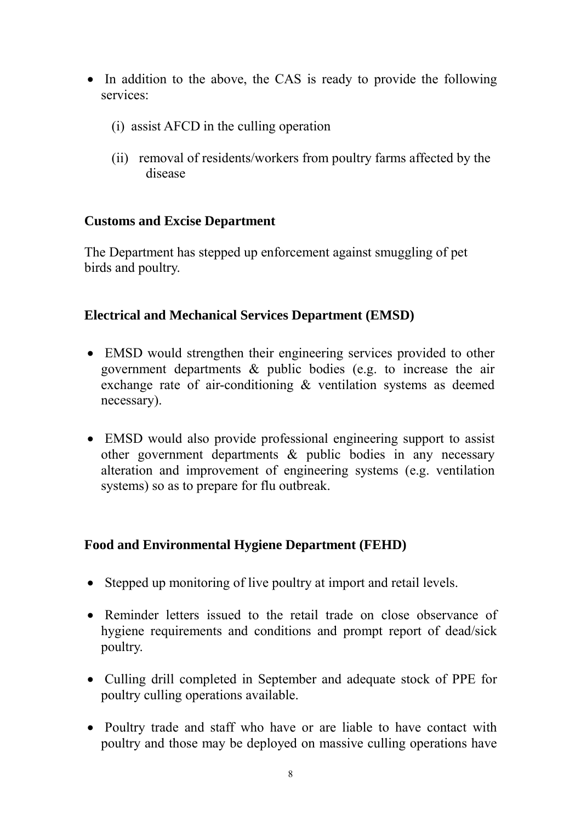- In addition to the above, the CAS is ready to provide the following services:
	- (i) assist AFCD in the culling operation
	- (ii) removal of residents/workers from poultry farms affected by the disease

### **Customs and Excise Department**

The Department has stepped up enforcement against smuggling of pet birds and poultry.

### **Electrical and Mechanical Services Department (EMSD)**

- EMSD would strengthen their engineering services provided to other government departments & public bodies (e.g. to increase the air exchange rate of air-conditioning & ventilation systems as deemed necessary).
- EMSD would also provide professional engineering support to assist other government departments & public bodies in any necessary alteration and improvement of engineering systems (e.g. ventilation systems) so as to prepare for flu outbreak.

# **Food and Environmental Hygiene Department (FEHD)**

- Stepped up monitoring of live poultry at import and retail levels.
- Reminder letters issued to the retail trade on close observance of hygiene requirements and conditions and prompt report of dead/sick poultry.
- Culling drill completed in September and adequate stock of PPE for poultry culling operations available.
- Poultry trade and staff who have or are liable to have contact with poultry and those may be deployed on massive culling operations have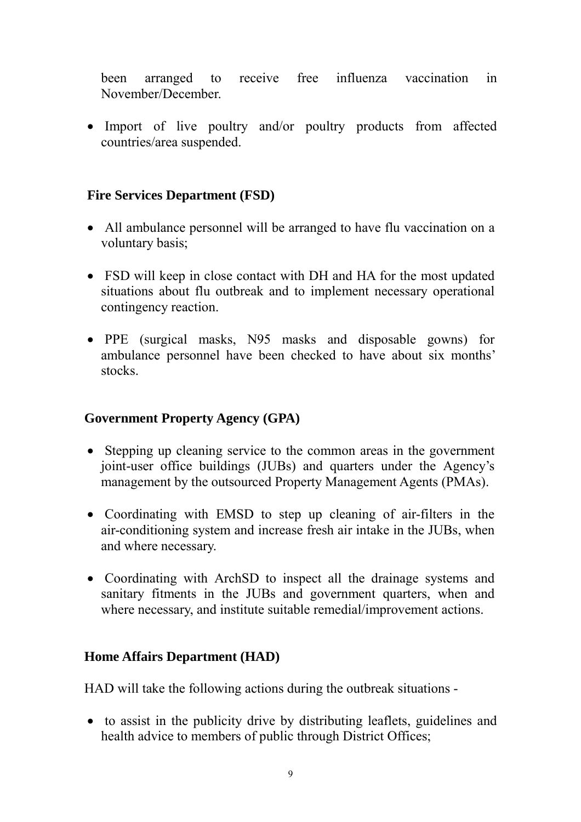been arranged to receive free influenza vaccination in November/December.

• Import of live poultry and/or poultry products from affected countries/area suspended.

### **Fire Services Department (FSD)**

- All ambulance personnel will be arranged to have flu vaccination on a voluntary basis;
- FSD will keep in close contact with DH and HA for the most updated situations about flu outbreak and to implement necessary operational contingency reaction.
- PPE (surgical masks, N95 masks and disposable gowns) for ambulance personnel have been checked to have about six months' stocks.

### **Government Property Agency (GPA)**

- Stepping up cleaning service to the common areas in the government joint-user office buildings (JUBs) and quarters under the Agency's management by the outsourced Property Management Agents (PMAs).
- Coordinating with EMSD to step up cleaning of air-filters in the air-conditioning system and increase fresh air intake in the JUBs, when and where necessary.
- Coordinating with ArchSD to inspect all the drainage systems and sanitary fitments in the JUBs and government quarters, when and where necessary, and institute suitable remedial/improvement actions.

### **Home Affairs Department (HAD)**

HAD will take the following actions during the outbreak situations -

• to assist in the publicity drive by distributing leaflets, guidelines and health advice to members of public through District Offices;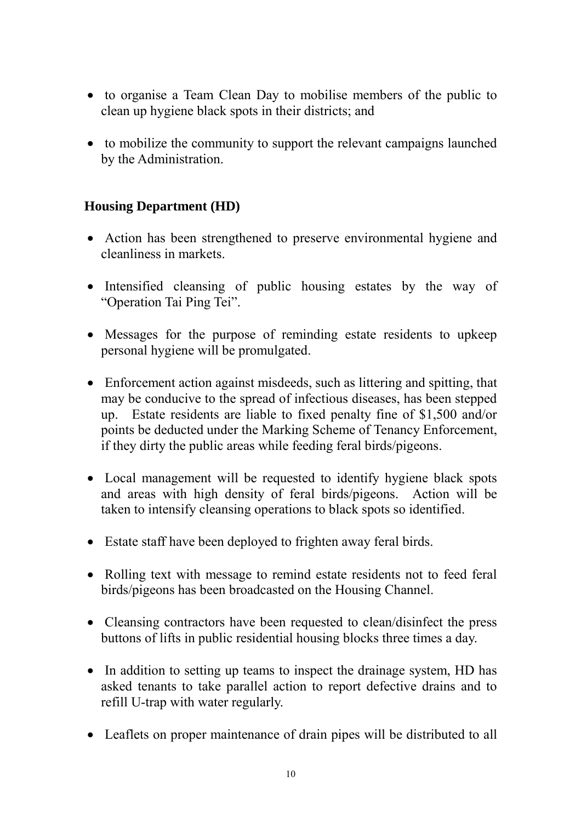- to organise a Team Clean Day to mobilise members of the public to clean up hygiene black spots in their districts; and
- to mobilize the community to support the relevant campaigns launched by the Administration.

# **Housing Department (HD)**

- Action has been strengthened to preserve environmental hygiene and cleanliness in markets.
- Intensified cleansing of public housing estates by the way of "Operation Tai Ping Tei".
- Messages for the purpose of reminding estate residents to upkeep personal hygiene will be promulgated.
- Enforcement action against misdeeds, such as littering and spitting, that may be conducive to the spread of infectious diseases, has been stepped up. Estate residents are liable to fixed penalty fine of \$1,500 and/or points be deducted under the Marking Scheme of Tenancy Enforcement, if they dirty the public areas while feeding feral birds/pigeons.
- Local management will be requested to identify hygiene black spots and areas with high density of feral birds/pigeons. Action will be taken to intensify cleansing operations to black spots so identified.
- Estate staff have been deployed to frighten away feral birds.
- Rolling text with message to remind estate residents not to feed feral birds/pigeons has been broadcasted on the Housing Channel.
- Cleansing contractors have been requested to clean/disinfect the press buttons of lifts in public residential housing blocks three times a day.
- In addition to setting up teams to inspect the drainage system, HD has asked tenants to take parallel action to report defective drains and to refill U-trap with water regularly.
- Leaflets on proper maintenance of drain pipes will be distributed to all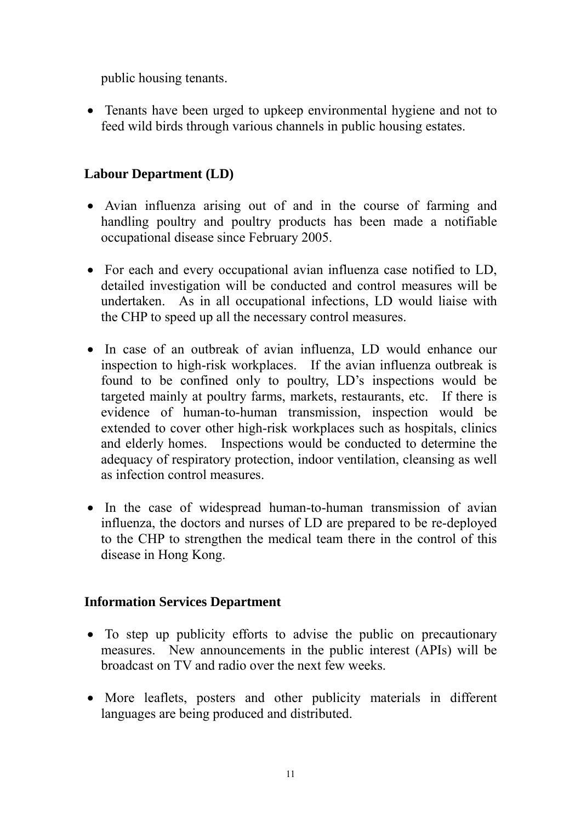public housing tenants.

• Tenants have been urged to upkeep environmental hygiene and not to feed wild birds through various channels in public housing estates.

# **Labour Department (LD)**

- Avian influenza arising out of and in the course of farming and handling poultry and poultry products has been made a notifiable occupational disease since February 2005.
- For each and every occupational avian influenza case notified to LD, detailed investigation will be conducted and control measures will be undertaken. As in all occupational infections, LD would liaise with the CHP to speed up all the necessary control measures.
- In case of an outbreak of avian influenza, LD would enhance our inspection to high-risk workplaces. If the avian influenza outbreak is found to be confined only to poultry, LD's inspections would be targeted mainly at poultry farms, markets, restaurants, etc. If there is evidence of human-to-human transmission, inspection would be extended to cover other high-risk workplaces such as hospitals, clinics and elderly homes. Inspections would be conducted to determine the adequacy of respiratory protection, indoor ventilation, cleansing as well as infection control measures.
- In the case of widespread human-to-human transmission of avian influenza, the doctors and nurses of LD are prepared to be re-deployed to the CHP to strengthen the medical team there in the control of this disease in Hong Kong.

# **Information Services Department**

- To step up publicity efforts to advise the public on precautionary measures. New announcements in the public interest (APIs) will be broadcast on TV and radio over the next few weeks.
- More leaflets, posters and other publicity materials in different languages are being produced and distributed.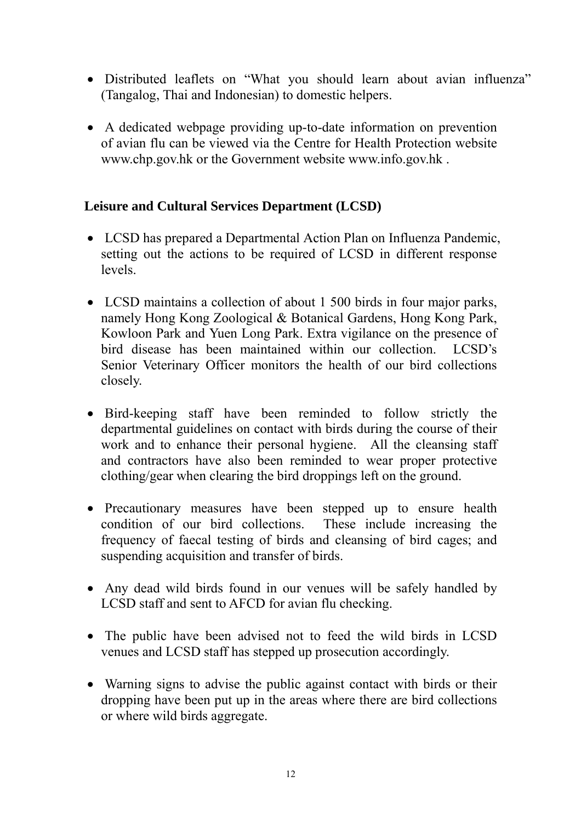- Distributed leaflets on "What you should learn about avian influenza" (Tangalog, Thai and Indonesian) to domestic helpers.
- A dedicated webpage providing up-to-date information on prevention of avian flu can be viewed via the Centre for Health Protection website www.chp.gov.hk or the Government website www.info.gov.hk .

### **Leisure and Cultural Services Department (LCSD)**

- LCSD has prepared a Departmental Action Plan on Influenza Pandemic, setting out the actions to be required of LCSD in different response levels.
- LCSD maintains a collection of about 1 500 birds in four major parks, namely Hong Kong Zoological & Botanical Gardens, Hong Kong Park, Kowloon Park and Yuen Long Park. Extra vigilance on the presence of bird disease has been maintained within our collection. LCSD's Senior Veterinary Officer monitors the health of our bird collections closely.
- Bird-keeping staff have been reminded to follow strictly the departmental guidelines on contact with birds during the course of their work and to enhance their personal hygiene. All the cleansing staff and contractors have also been reminded to wear proper protective clothing/gear when clearing the bird droppings left on the ground.
- Precautionary measures have been stepped up to ensure health condition of our bird collections. These include increasing the frequency of faecal testing of birds and cleansing of bird cages; and suspending acquisition and transfer of birds.
- Any dead wild birds found in our venues will be safely handled by LCSD staff and sent to AFCD for avian flu checking.
- The public have been advised not to feed the wild birds in LCSD venues and LCSD staff has stepped up prosecution accordingly.
- Warning signs to advise the public against contact with birds or their dropping have been put up in the areas where there are bird collections or where wild birds aggregate.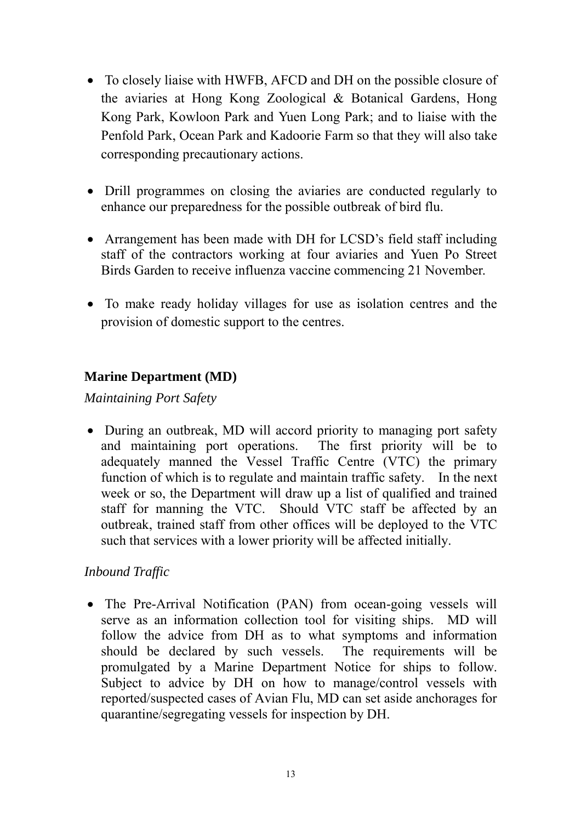- To closely liaise with HWFB, AFCD and DH on the possible closure of the aviaries at Hong Kong Zoological & Botanical Gardens, Hong Kong Park, Kowloon Park and Yuen Long Park; and to liaise with the Penfold Park, Ocean Park and Kadoorie Farm so that they will also take corresponding precautionary actions.
- Drill programmes on closing the aviaries are conducted regularly to enhance our preparedness for the possible outbreak of bird flu.
- Arrangement has been made with DH for LCSD's field staff including staff of the contractors working at four aviaries and Yuen Po Street Birds Garden to receive influenza vaccine commencing 21 November.
- To make ready holiday villages for use as isolation centres and the provision of domestic support to the centres.

# **Marine Department (MD)**

*Maintaining Port Safety*

• During an outbreak, MD will accord priority to managing port safety and maintaining port operations. The first priority will be to adequately manned the Vessel Traffic Centre (VTC) the primary function of which is to regulate and maintain traffic safety. In the next week or so, the Department will draw up a list of qualified and trained staff for manning the VTC. Should VTC staff be affected by an outbreak, trained staff from other offices will be deployed to the VTC such that services with a lower priority will be affected initially.

# *Inbound Traffic*

• The Pre-Arrival Notification (PAN) from ocean-going vessels will serve as an information collection tool for visiting ships. MD will follow the advice from DH as to what symptoms and information should be declared by such vessels. The requirements will be promulgated by a Marine Department Notice for ships to follow. Subject to advice by DH on how to manage/control vessels with reported/suspected cases of Avian Flu, MD can set aside anchorages for quarantine/segregating vessels for inspection by DH.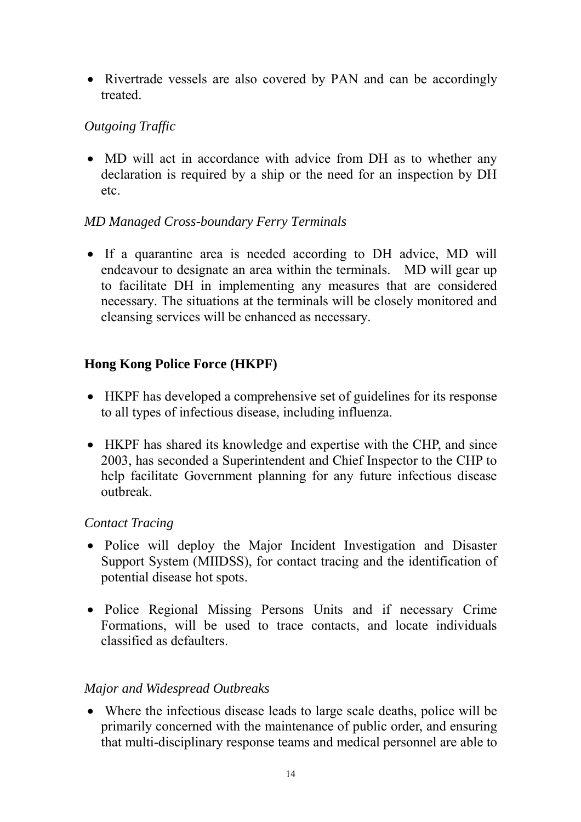• Rivertrade vessels are also covered by PAN and can be accordingly treated.

# *Outgoing Traffic*

• MD will act in accordance with advice from DH as to whether any declaration is required by a ship or the need for an inspection by DH etc.

### *MD Managed Cross-boundary Ferry Terminals*

• If a quarantine area is needed according to DH advice, MD will endeavour to designate an area within the terminals. MD will gear up to facilitate DH in implementing any measures that are considered necessary. The situations at the terminals will be closely monitored and cleansing services will be enhanced as necessary.

### **Hong Kong Police Force (HKPF)**

- HKPF has developed a comprehensive set of guidelines for its response to all types of infectious disease, including influenza.
- HKPF has shared its knowledge and expertise with the CHP, and since 2003, has seconded a Superintendent and Chief Inspector to the CHP to help facilitate Government planning for any future infectious disease outbreak.

### *Contact Tracing*

- Police will deploy the Major Incident Investigation and Disaster Support System (MIIDSS), for contact tracing and the identification of potential disease hot spots.
- Police Regional Missing Persons Units and if necessary Crime Formations, will be used to trace contacts, and locate individuals classified as defaulters.

### *Major and Widespread Outbreaks*

• Where the infectious disease leads to large scale deaths, police will be primarily concerned with the maintenance of public order, and ensuring that multi-disciplinary response teams and medical personnel are able to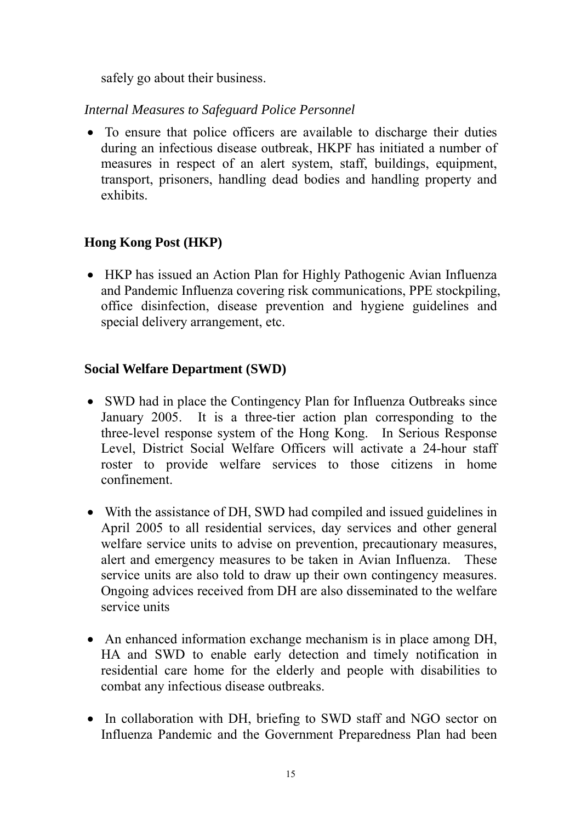safely go about their business.

*Internal Measures to Safeguard Police Personnel*

• To ensure that police officers are available to discharge their duties during an infectious disease outbreak, HKPF has initiated a number of measures in respect of an alert system, staff, buildings, equipment, transport, prisoners, handling dead bodies and handling property and exhibits.

# **Hong Kong Post (HKP)**

• HKP has issued an Action Plan for Highly Pathogenic Avian Influenza and Pandemic Influenza covering risk communications, PPE stockpiling, office disinfection, disease prevention and hygiene guidelines and special delivery arrangement, etc.

# **Social Welfare Department (SWD)**

- SWD had in place the Contingency Plan for Influenza Outbreaks since January 2005. It is a three-tier action plan corresponding to the three-level response system of the Hong Kong. In Serious Response Level, District Social Welfare Officers will activate a 24-hour staff roster to provide welfare services to those citizens in home confinement.
- With the assistance of DH, SWD had compiled and issued guidelines in April 2005 to all residential services, day services and other general welfare service units to advise on prevention, precautionary measures, alert and emergency measures to be taken in Avian Influenza. These service units are also told to draw up their own contingency measures. Ongoing advices received from DH are also disseminated to the welfare service units
- An enhanced information exchange mechanism is in place among DH, HA and SWD to enable early detection and timely notification in residential care home for the elderly and people with disabilities to combat any infectious disease outbreaks.
- In collaboration with DH, briefing to SWD staff and NGO sector on Influenza Pandemic and the Government Preparedness Plan had been